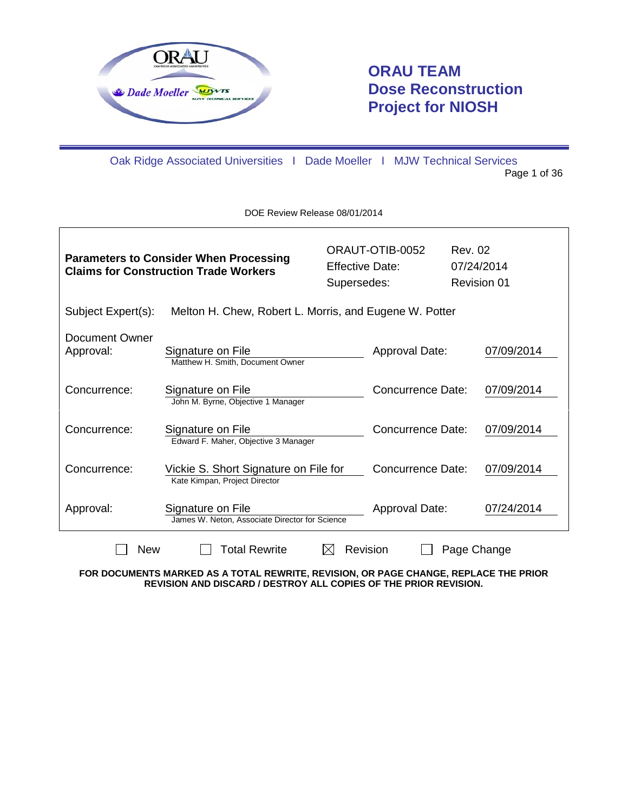

 $\mathsf{r}$ 

# **ORAU TEAM Dose Reconstruction Project for NIOSH**

٦

Oak Ridge Associated Universities I Dade Moeller I MJW Technical Services Page 1 of 36

DOE Review Release 08/01/2014

| <b>Parameters to Consider When Processing</b><br><b>Claims for Construction Trade Workers</b> |                                                                        | <b>Effective Date:</b><br>Supersedes: | ORAUT-OTIB-0052          |  | Rev. 02<br>07/24/2014<br><b>Revision 01</b> |  |
|-----------------------------------------------------------------------------------------------|------------------------------------------------------------------------|---------------------------------------|--------------------------|--|---------------------------------------------|--|
| Subject Expert(s):                                                                            | Melton H. Chew, Robert L. Morris, and Eugene W. Potter                 |                                       |                          |  |                                             |  |
| Document Owner<br>Approval:                                                                   | Signature on File<br>Matthew H. Smith, Document Owner                  |                                       | Approval Date:           |  | 07/09/2014                                  |  |
| Concurrence:                                                                                  | Signature on File<br>John M. Byrne, Objective 1 Manager                |                                       | Concurrence Date:        |  | 07/09/2014                                  |  |
| Concurrence:                                                                                  | Signature on File<br>Edward F. Maher, Objective 3 Manager              |                                       | <b>Concurrence Date:</b> |  | 07/09/2014                                  |  |
| Concurrence:                                                                                  | Vickie S. Short Signature on File for<br>Kate Kimpan, Project Director |                                       | <b>Concurrence Date:</b> |  | 07/09/2014                                  |  |
| Signature on File<br>Approval:<br>James W. Neton, Associate Director for Science              |                                                                        |                                       | Approval Date:           |  | 07/24/2014                                  |  |
|                                                                                               | <b>New</b><br>Total Rewrite<br>Revision<br>Page Change                 |                                       |                          |  |                                             |  |

**FOR DOCUMENTS MARKED AS A TOTAL REWRITE, REVISION, OR PAGE CHANGE, REPLACE THE PRIOR REVISION AND DISCARD / DESTROY ALL COPIES OF THE PRIOR REVISION.**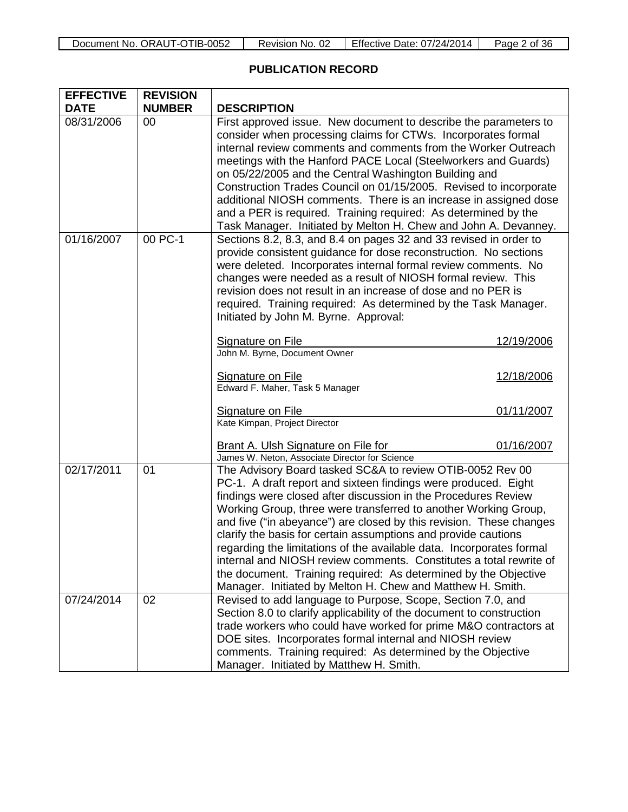| Document No. ORAUT-OTIB-0052 | Revision No. 02 | Effective Date: 07/24/2014 | Page 2 of 36 |
|------------------------------|-----------------|----------------------------|--------------|
|------------------------------|-----------------|----------------------------|--------------|

# **PUBLICATION RECORD**

| <b>EFFECTIVE</b><br><b>DATE</b> | <b>REVISION</b><br><b>NUMBER</b> | <b>DESCRIPTION</b>                                                                                                                                                                                                                                                                                                                                                                                                                                                                                                                                                                                                                                                                       |                                        |
|---------------------------------|----------------------------------|------------------------------------------------------------------------------------------------------------------------------------------------------------------------------------------------------------------------------------------------------------------------------------------------------------------------------------------------------------------------------------------------------------------------------------------------------------------------------------------------------------------------------------------------------------------------------------------------------------------------------------------------------------------------------------------|----------------------------------------|
| 08/31/2006                      | 00                               | First approved issue. New document to describe the parameters to<br>consider when processing claims for CTWs. Incorporates formal<br>internal review comments and comments from the Worker Outreach<br>meetings with the Hanford PACE Local (Steelworkers and Guards)<br>on 05/22/2005 and the Central Washington Building and<br>Construction Trades Council on 01/15/2005. Revised to incorporate<br>additional NIOSH comments. There is an increase in assigned dose<br>and a PER is required. Training required: As determined by the<br>Task Manager. Initiated by Melton H. Chew and John A. Devanney.                                                                             |                                        |
| 01/16/2007                      | 00 PC-1                          | Sections 8.2, 8.3, and 8.4 on pages 32 and 33 revised in order to<br>provide consistent guidance for dose reconstruction. No sections<br>were deleted. Incorporates internal formal review comments. No<br>changes were needed as a result of NIOSH formal review. This<br>revision does not result in an increase of dose and no PER is<br>required. Training required: As determined by the Task Manager.<br>Initiated by John M. Byrne. Approval:<br><b>Signature on File</b><br>John M. Byrne, Document Owner<br>Signature on File<br>Edward F. Maher, Task 5 Manager<br>Signature on File<br>Kate Kimpan, Project Director                                                          | 12/19/2006<br>12/18/2006<br>01/11/2007 |
|                                 |                                  | Brant A. Ulsh Signature on File for<br>James W. Neton, Associate Director for Science                                                                                                                                                                                                                                                                                                                                                                                                                                                                                                                                                                                                    | 01/16/2007                             |
| 02/17/2011                      | 01                               | The Advisory Board tasked SC&A to review OTIB-0052 Rev 00<br>PC-1. A draft report and sixteen findings were produced. Eight<br>findings were closed after discussion in the Procedures Review<br>Working Group, three were transferred to another Working Group,<br>and five ("in abeyance") are closed by this revision. These changes<br>clarify the basis for certain assumptions and provide cautions<br>regarding the limitations of the available data. Incorporates formal<br>internal and NIOSH review comments. Constitutes a total rewrite of<br>the document. Training required: As determined by the Objective<br>Manager. Initiated by Melton H. Chew and Matthew H. Smith. |                                        |
| 07/24/2014                      | 02                               | Revised to add language to Purpose, Scope, Section 7.0, and<br>Section 8.0 to clarify applicability of the document to construction<br>trade workers who could have worked for prime M&O contractors at<br>DOE sites. Incorporates formal internal and NIOSH review<br>comments. Training required: As determined by the Objective<br>Manager. Initiated by Matthew H. Smith.                                                                                                                                                                                                                                                                                                            |                                        |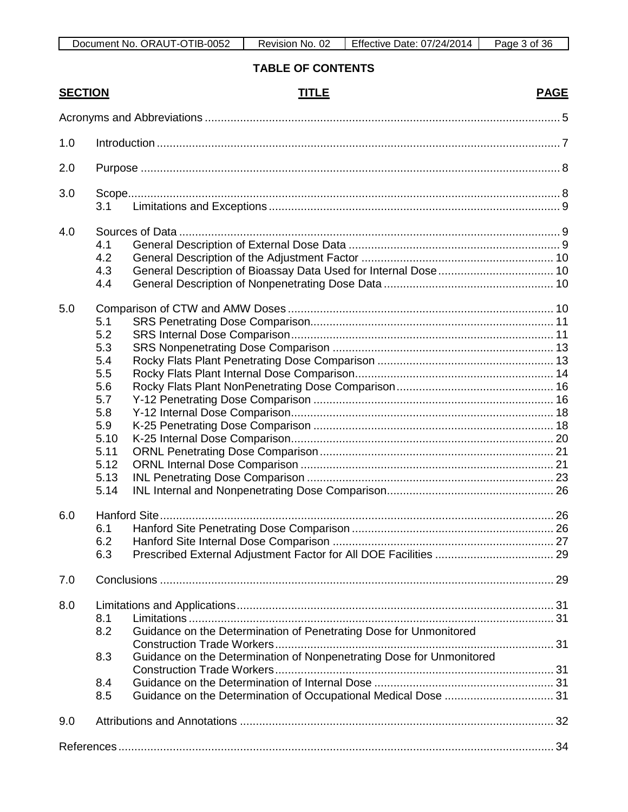# **TABLE OF CONTENTS**

|     | <b>SECTION</b> | <b>TITLE</b>                                                         | <b>PAGE</b> |
|-----|----------------|----------------------------------------------------------------------|-------------|
|     |                |                                                                      |             |
| 1.0 |                |                                                                      |             |
| 2.0 |                |                                                                      |             |
|     |                |                                                                      |             |
| 3.0 | 3.1            |                                                                      |             |
| 4.0 |                |                                                                      |             |
|     | 4.1            |                                                                      |             |
|     | 4.2            |                                                                      |             |
|     | 4.3            |                                                                      |             |
|     | 4.4            |                                                                      |             |
| 5.0 |                |                                                                      |             |
|     | 5.1            |                                                                      |             |
|     | 5.2            |                                                                      |             |
|     | 5.3            |                                                                      |             |
|     | 5.4            |                                                                      |             |
|     | 5.5            |                                                                      |             |
|     | 5.6            |                                                                      |             |
|     | 5.7            |                                                                      |             |
|     | 5.8            |                                                                      |             |
|     | 5.9            |                                                                      |             |
|     | 5.10           |                                                                      |             |
|     | 5.11           |                                                                      |             |
|     | 5.12           |                                                                      |             |
|     | 5.13           |                                                                      |             |
|     | 5.14           |                                                                      |             |
| 6.0 |                |                                                                      |             |
|     | 6.1            |                                                                      |             |
|     | 6.2            |                                                                      |             |
|     | 6.3            |                                                                      |             |
| 7.0 |                |                                                                      |             |
| 8.0 |                |                                                                      |             |
|     | 8.1            |                                                                      |             |
|     | 8.2            | Guidance on the Determination of Penetrating Dose for Unmonitored    |             |
|     | 8.3            | Guidance on the Determination of Nonpenetrating Dose for Unmonitored |             |
|     |                |                                                                      |             |
|     | 8.4            |                                                                      |             |
|     | 8.5            |                                                                      |             |
| 9.0 |                |                                                                      |             |
|     |                |                                                                      |             |
|     |                |                                                                      |             |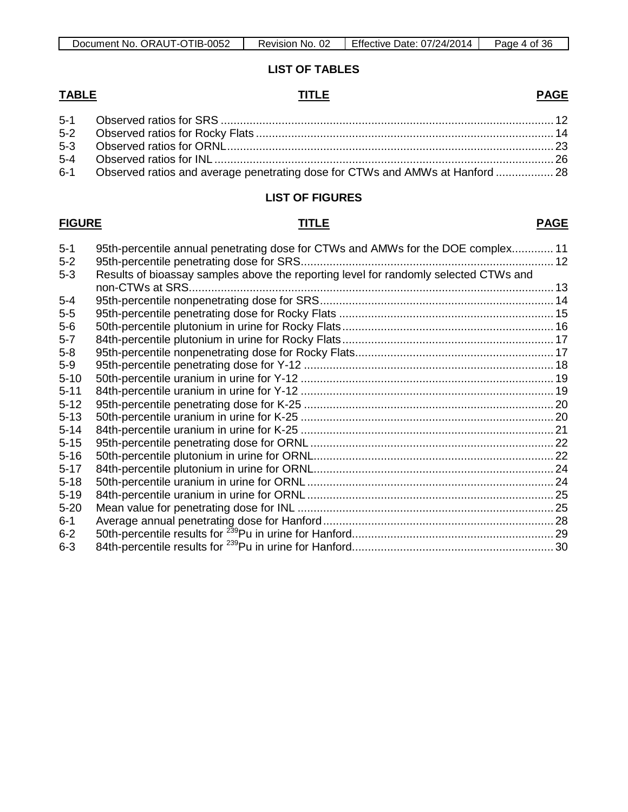# **LIST OF TABLES**

#### **TABLE TITLE PAGE**

| 6-1 Observed ratios and average penetrating dose for CTWs and AMWs at Hanford  28 |  |
|-----------------------------------------------------------------------------------|--|

#### **LIST OF FIGURES**

# **FIGURE TITLE PAGE**

| $5 - 1$  | 95th-percentile annual penetrating dose for CTWs and AMWs for the DOE complex 11     |  |
|----------|--------------------------------------------------------------------------------------|--|
| $5-2$    |                                                                                      |  |
| $5 - 3$  | Results of bioassay samples above the reporting level for randomly selected CTWs and |  |
|          |                                                                                      |  |
| $5-4$    |                                                                                      |  |
| $5-5$    |                                                                                      |  |
| $5-6$    |                                                                                      |  |
| $5 - 7$  |                                                                                      |  |
| $5 - 8$  |                                                                                      |  |
| $5-9$    |                                                                                      |  |
| $5 - 10$ |                                                                                      |  |
| $5 - 11$ |                                                                                      |  |
| $5 - 12$ |                                                                                      |  |
| $5 - 13$ |                                                                                      |  |
| $5 - 14$ |                                                                                      |  |
| $5 - 15$ |                                                                                      |  |
| $5 - 16$ |                                                                                      |  |
| $5 - 17$ |                                                                                      |  |
| $5 - 18$ |                                                                                      |  |
| $5 - 19$ |                                                                                      |  |
| $5 - 20$ |                                                                                      |  |
| $6-1$    |                                                                                      |  |
| $6 - 2$  |                                                                                      |  |
| $6 - 3$  |                                                                                      |  |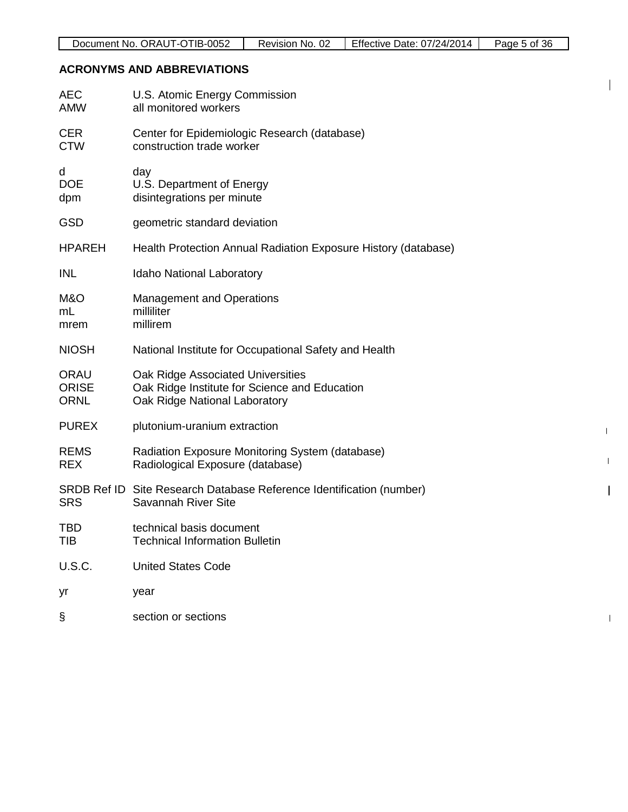| Document No. ORAUT-OTIB-0052 | Revision No. 02 | L Effective Date: 07/24/2014 | Page 5 of 36 |
|------------------------------|-----------------|------------------------------|--------------|
|------------------------------|-----------------|------------------------------|--------------|

 $\mathbf{I}$ 

 $\mathbf{I}$ 

 $\mathbf I$ 

 $\mathbf{I}$ 

 $\mathbf{I}$ 

# **ACRONYMS AND ABBREVIATIONS**

| AEC<br><b>AMW</b>                   | U.S. Atomic Energy Commission<br>all monitored workers                                                              |
|-------------------------------------|---------------------------------------------------------------------------------------------------------------------|
| <b>CER</b><br><b>CTW</b>            | Center for Epidemiologic Research (database)<br>construction trade worker                                           |
| d<br><b>DOE</b><br>dpm              | day<br>U.S. Department of Energy<br>disintegrations per minute                                                      |
| <b>GSD</b>                          | geometric standard deviation                                                                                        |
| <b>HPAREH</b>                       | Health Protection Annual Radiation Exposure History (database)                                                      |
| INL                                 | Idaho National Laboratory                                                                                           |
| M&O<br>mL<br>mrem                   | <b>Management and Operations</b><br>milliliter<br>millirem                                                          |
| <b>NIOSH</b>                        | National Institute for Occupational Safety and Health                                                               |
| ORAU<br><b>ORISE</b><br><b>ORNL</b> | Oak Ridge Associated Universities<br>Oak Ridge Institute for Science and Education<br>Oak Ridge National Laboratory |
| <b>PUREX</b>                        | plutonium-uranium extraction                                                                                        |
| <b>REMS</b><br><b>REX</b>           | Radiation Exposure Monitoring System (database)<br>Radiological Exposure (database)                                 |
| <b>SRS</b>                          | SRDB Ref ID Site Research Database Reference Identification (number)<br>Savannah River Site                         |
| TBD<br>TIB                          | technical basis document<br><b>Technical Information Bulletin</b>                                                   |
| U.S.C.                              | <b>United States Code</b>                                                                                           |
| yr                                  | year                                                                                                                |
| §                                   | section or sections                                                                                                 |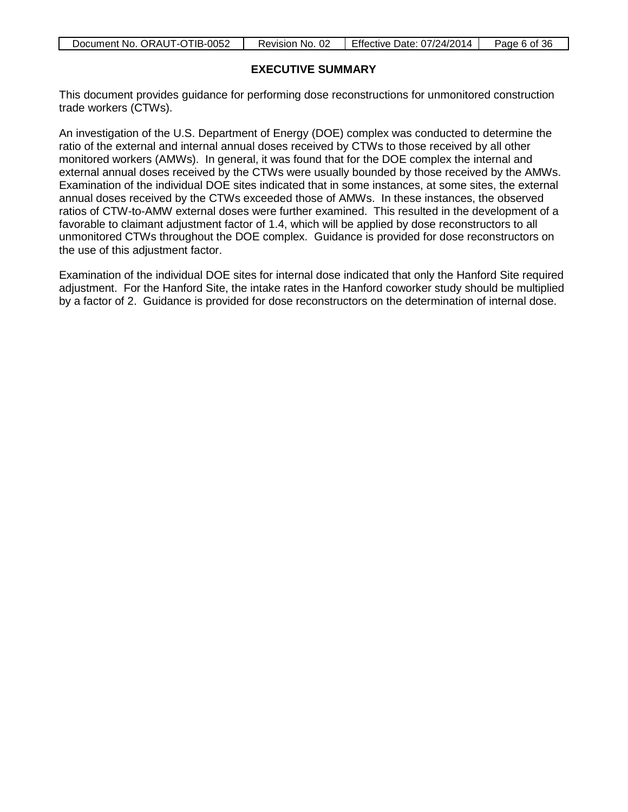| Document No. ORAUT-OTIB-0052 | Revision No. 02 | <b>Effective Date: 07/24/2014</b> | Page 6 of 36 |
|------------------------------|-----------------|-----------------------------------|--------------|
|                              |                 |                                   |              |

## **EXECUTIVE SUMMARY**

This document provides guidance for performing dose reconstructions for unmonitored construction trade workers (CTWs).

An investigation of the U.S. Department of Energy (DOE) complex was conducted to determine the ratio of the external and internal annual doses received by CTWs to those received by all other monitored workers (AMWs). In general, it was found that for the DOE complex the internal and external annual doses received by the CTWs were usually bounded by those received by the AMWs. Examination of the individual DOE sites indicated that in some instances, at some sites, the external annual doses received by the CTWs exceeded those of AMWs. In these instances, the observed ratios of CTW-to-AMW external doses were further examined. This resulted in the development of a favorable to claimant adjustment factor of 1.4, which will be applied by dose reconstructors to all unmonitored CTWs throughout the DOE complex. Guidance is provided for dose reconstructors on the use of this adjustment factor.

Examination of the individual DOE sites for internal dose indicated that only the Hanford Site required adjustment. For the Hanford Site, the intake rates in the Hanford coworker study should be multiplied by a factor of 2. Guidance is provided for dose reconstructors on the determination of internal dose.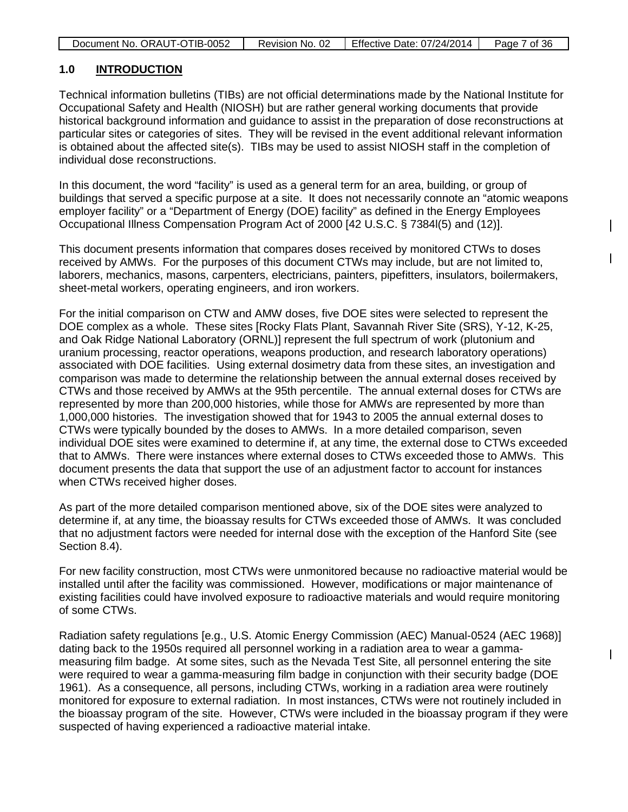| Document No. ORAUT-OTIB-0052 | Revision No. 02 | Effective Date: 07/24/2014 | Page 7 of 36 |
|------------------------------|-----------------|----------------------------|--------------|
|                              |                 |                            |              |

#### **1.0 INTRODUCTION**

Technical information bulletins (TIBs) are not official determinations made by the National Institute for Occupational Safety and Health (NIOSH) but are rather general working documents that provide historical background information and guidance to assist in the preparation of dose reconstructions at particular sites or categories of sites. They will be revised in the event additional relevant information is obtained about the affected site(s). TIBs may be used to assist NIOSH staff in the completion of individual dose reconstructions.

In this document, the word "facility" is used as a general term for an area, building, or group of buildings that served a specific purpose at a site. It does not necessarily connote an "atomic weapons employer facility" or a "Department of Energy (DOE) facility" as defined in the Energy Employees Occupational Illness Compensation Program Act of 2000 [42 U.S.C. § 7384l(5) and (12)].

This document presents information that compares doses received by monitored CTWs to doses received by AMWs. For the purposes of this document CTWs may include, but are not limited to, laborers, mechanics, masons, carpenters, electricians, painters, pipefitters, insulators, boilermakers, sheet-metal workers, operating engineers, and iron workers.

For the initial comparison on CTW and AMW doses, five DOE sites were selected to represent the DOE complex as a whole. These sites [Rocky Flats Plant, Savannah River Site (SRS), Y-12, K-25, and Oak Ridge National Laboratory (ORNL)] represent the full spectrum of work (plutonium and uranium processing, reactor operations, weapons production, and research laboratory operations) associated with DOE facilities. Using external dosimetry data from these sites, an investigation and comparison was made to determine the relationship between the annual external doses received by CTWs and those received by AMWs at the 95th percentile. The annual external doses for CTWs are represented by more than 200,000 histories, while those for AMWs are represented by more than 1,000,000 histories. The investigation showed that for 1943 to 2005 the annual external doses to CTWs were typically bounded by the doses to AMWs. In a more detailed comparison, seven individual DOE sites were examined to determine if, at any time, the external dose to CTWs exceeded that to AMWs. There were instances where external doses to CTWs exceeded those to AMWs. This document presents the data that support the use of an adjustment factor to account for instances when CTWs received higher doses.

As part of the more detailed comparison mentioned above, six of the DOE sites were analyzed to determine if, at any time, the bioassay results for CTWs exceeded those of AMWs. It was concluded that no adjustment factors were needed for internal dose with the exception of the Hanford Site (see Section 8.4).

For new facility construction, most CTWs were unmonitored because no radioactive material would be installed until after the facility was commissioned. However, modifications or major maintenance of existing facilities could have involved exposure to radioactive materials and would require monitoring of some CTWs.

Radiation safety regulations [e.g., U.S. Atomic Energy Commission (AEC) Manual-0524 (AEC 1968)] dating back to the 1950s required all personnel working in a radiation area to wear a gammameasuring film badge. At some sites, such as the Nevada Test Site, all personnel entering the site were required to wear a gamma-measuring film badge in conjunction with their security badge (DOE 1961). As a consequence, all persons, including CTWs, working in a radiation area were routinely monitored for exposure to external radiation. In most instances, CTWs were not routinely included in the bioassay program of the site. However, CTWs were included in the bioassay program if they were suspected of having experienced a radioactive material intake.

 $\overline{\phantom{a}}$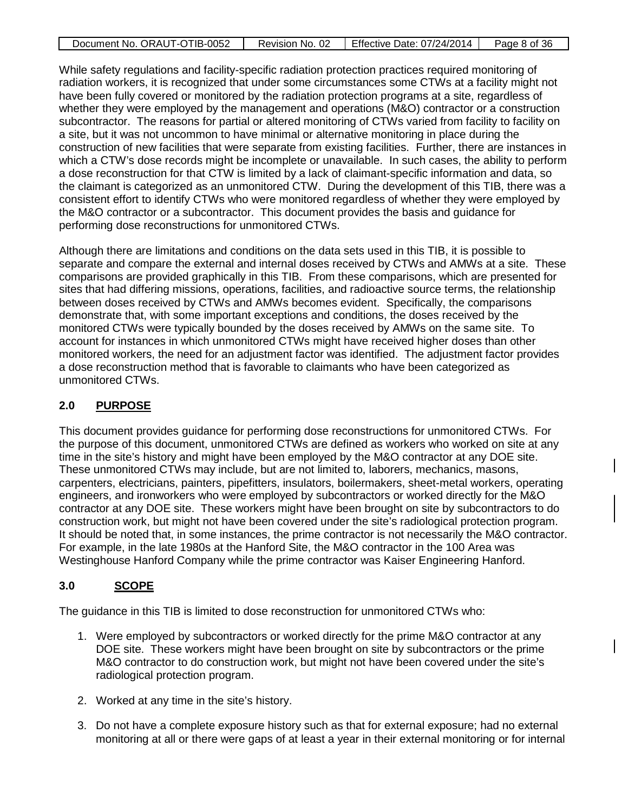| Document No. ORAUT-OTIB-0052 | Revision No. 02 | Effective Date: 07/24/2014 | Page 8 of 36 |
|------------------------------|-----------------|----------------------------|--------------|

While safety regulations and facility-specific radiation protection practices required monitoring of radiation workers, it is recognized that under some circumstances some CTWs at a facility might not have been fully covered or monitored by the radiation protection programs at a site, regardless of whether they were employed by the management and operations (M&O) contractor or a construction subcontractor. The reasons for partial or altered monitoring of CTWs varied from facility to facility on a site, but it was not uncommon to have minimal or alternative monitoring in place during the construction of new facilities that were separate from existing facilities. Further, there are instances in which a CTW's dose records might be incomplete or unavailable. In such cases, the ability to perform a dose reconstruction for that CTW is limited by a lack of claimant-specific information and data, so the claimant is categorized as an unmonitored CTW. During the development of this TIB, there was a consistent effort to identify CTWs who were monitored regardless of whether they were employed by the M&O contractor or a subcontractor. This document provides the basis and guidance for performing dose reconstructions for unmonitored CTWs.

Although there are limitations and conditions on the data sets used in this TIB, it is possible to separate and compare the external and internal doses received by CTWs and AMWs at a site. These comparisons are provided graphically in this TIB. From these comparisons, which are presented for sites that had differing missions, operations, facilities, and radioactive source terms, the relationship between doses received by CTWs and AMWs becomes evident. Specifically, the comparisons demonstrate that, with some important exceptions and conditions, the doses received by the monitored CTWs were typically bounded by the doses received by AMWs on the same site. To account for instances in which unmonitored CTWs might have received higher doses than other monitored workers, the need for an adjustment factor was identified. The adjustment factor provides a dose reconstruction method that is favorable to claimants who have been categorized as unmonitored CTWs.

# **2.0 PURPOSE**

This document provides guidance for performing dose reconstructions for unmonitored CTWs. For the purpose of this document, unmonitored CTWs are defined as workers who worked on site at any time in the site's history and might have been employed by the M&O contractor at any DOE site. These unmonitored CTWs may include, but are not limited to, laborers, mechanics, masons, carpenters, electricians, painters, pipefitters, insulators, boilermakers, sheet-metal workers, operating engineers, and ironworkers who were employed by subcontractors or worked directly for the M&O contractor at any DOE site. These workers might have been brought on site by subcontractors to do construction work, but might not have been covered under the site's radiological protection program. It should be noted that, in some instances, the prime contractor is not necessarily the M&O contractor. For example, in the late 1980s at the Hanford Site, the M&O contractor in the 100 Area was Westinghouse Hanford Company while the prime contractor was Kaiser Engineering Hanford.

### **3.0 SCOPE**

The guidance in this TIB is limited to dose reconstruction for unmonitored CTWs who:

- 1. Were employed by subcontractors or worked directly for the prime M&O contractor at any DOE site. These workers might have been brought on site by subcontractors or the prime M&O contractor to do construction work, but might not have been covered under the site's radiological protection program.
- 2. Worked at any time in the site's history.
- 3. Do not have a complete exposure history such as that for external exposure; had no external monitoring at all or there were gaps of at least a year in their external monitoring or for internal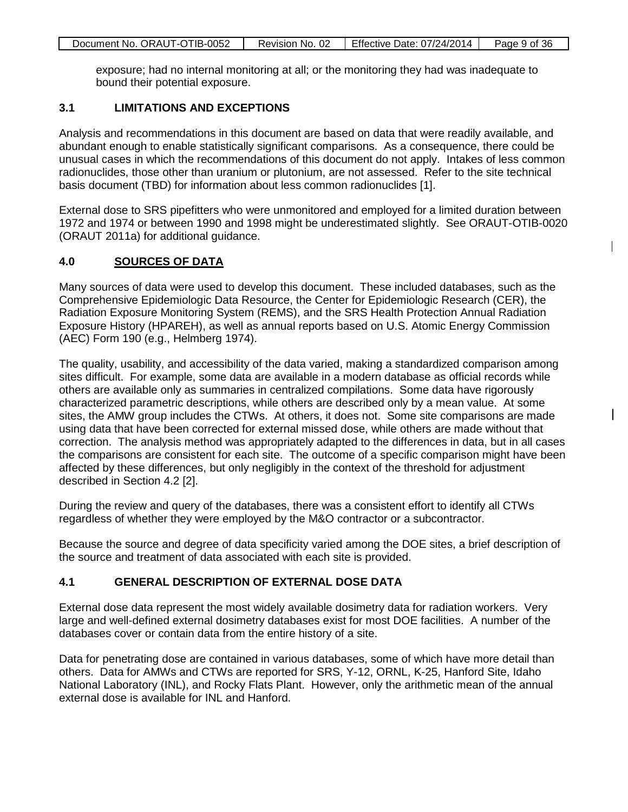| Document No. ORAUT-OTIB-0052 | Revision No. 02 | Effective Date: 07/24/2014 | Page 9 of 36 |
|------------------------------|-----------------|----------------------------|--------------|
|                              |                 |                            |              |

exposure; had no internal monitoring at all; or the monitoring they had was inadequate to bound their potential exposure.

#### **3.1 LIMITATIONS AND EXCEPTIONS**

Analysis and recommendations in this document are based on data that were readily available, and abundant enough to enable statistically significant comparisons. As a consequence, there could be unusual cases in which the recommendations of this document do not apply. Intakes of less common radionuclides, those other than uranium or plutonium, are not assessed. Refer to the site technical basis document (TBD) for information about less common radionuclides [1].

External dose to SRS pipefitters who were unmonitored and employed for a limited duration between 1972 and 1974 or between 1990 and 1998 might be underestimated slightly. See ORAUT-OTIB-0020 (ORAUT 2011a) for additional guidance.

 $\mathbf{I}$ 

#### **4.0 SOURCES OF DATA**

Many sources of data were used to develop this document. These included databases, such as the Comprehensive Epidemiologic Data Resource, the Center for Epidemiologic Research (CER), the Radiation Exposure Monitoring System (REMS), and the SRS Health Protection Annual Radiation Exposure History (HPAREH), as well as annual reports based on U.S. Atomic Energy Commission (AEC) Form 190 (e.g., Helmberg 1974).

The quality, usability, and accessibility of the data varied, making a standardized comparison among sites difficult. For example, some data are available in a modern database as official records while others are available only as summaries in centralized compilations. Some data have rigorously characterized parametric descriptions, while others are described only by a mean value. At some sites, the AMW group includes the CTWs. At others, it does not. Some site comparisons are made using data that have been corrected for external missed dose, while others are made without that correction. The analysis method was appropriately adapted to the differences in data, but in all cases the comparisons are consistent for each site. The outcome of a specific comparison might have been affected by these differences, but only negligibly in the context of the threshold for adjustment described in Section 4.2 [2].

During the review and query of the databases, there was a consistent effort to identify all CTWs regardless of whether they were employed by the M&O contractor or a subcontractor.

Because the source and degree of data specificity varied among the DOE sites, a brief description of the source and treatment of data associated with each site is provided.

#### **4.1 GENERAL DESCRIPTION OF EXTERNAL DOSE DATA**

External dose data represent the most widely available dosimetry data for radiation workers. Very large and well-defined external dosimetry databases exist for most DOE facilities. A number of the databases cover or contain data from the entire history of a site.

Data for penetrating dose are contained in various databases, some of which have more detail than others. Data for AMWs and CTWs are reported for SRS, Y-12, ORNL, K-25, Hanford Site, Idaho National Laboratory (INL), and Rocky Flats Plant. However, only the arithmetic mean of the annual external dose is available for INL and Hanford.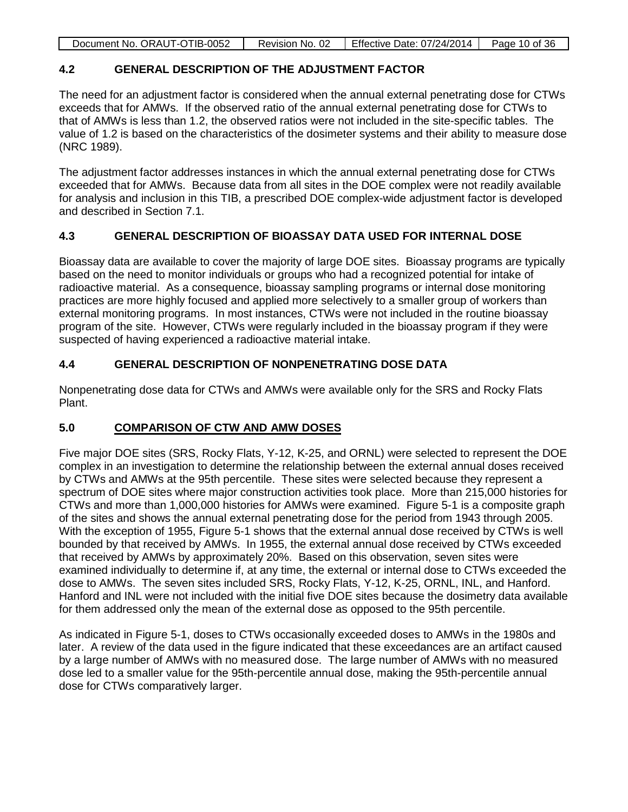| Document No. ORAUT-OTIB-0052 | Revision No. 02 | Effective Date: 07/24/2014 | Page 10 of 36 |
|------------------------------|-----------------|----------------------------|---------------|
|------------------------------|-----------------|----------------------------|---------------|

# **4.2 GENERAL DESCRIPTION OF THE ADJUSTMENT FACTOR**

The need for an adjustment factor is considered when the annual external penetrating dose for CTWs exceeds that for AMWs. If the observed ratio of the annual external penetrating dose for CTWs to that of AMWs is less than 1.2, the observed ratios were not included in the site-specific tables. The value of 1.2 is based on the characteristics of the dosimeter systems and their ability to measure dose (NRC 1989).

The adjustment factor addresses instances in which the annual external penetrating dose for CTWs exceeded that for AMWs. Because data from all sites in the DOE complex were not readily available for analysis and inclusion in this TIB, a prescribed DOE complex-wide adjustment factor is developed and described in Section 7.1.

# **4.3 GENERAL DESCRIPTION OF BIOASSAY DATA USED FOR INTERNAL DOSE**

Bioassay data are available to cover the majority of large DOE sites. Bioassay programs are typically based on the need to monitor individuals or groups who had a recognized potential for intake of radioactive material. As a consequence, bioassay sampling programs or internal dose monitoring practices are more highly focused and applied more selectively to a smaller group of workers than external monitoring programs. In most instances, CTWs were not included in the routine bioassay program of the site. However, CTWs were regularly included in the bioassay program if they were suspected of having experienced a radioactive material intake.

# **4.4 GENERAL DESCRIPTION OF NONPENETRATING DOSE DATA**

Nonpenetrating dose data for CTWs and AMWs were available only for the SRS and Rocky Flats Plant.

# **5.0 COMPARISON OF CTW AND AMW DOSES**

Five major DOE sites (SRS, Rocky Flats, Y-12, K-25, and ORNL) were selected to represent the DOE complex in an investigation to determine the relationship between the external annual doses received by CTWs and AMWs at the 95th percentile. These sites were selected because they represent a spectrum of DOE sites where major construction activities took place. More than 215,000 histories for CTWs and more than 1,000,000 histories for AMWs were examined. Figure 5-1 is a composite graph of the sites and shows the annual external penetrating dose for the period from 1943 through 2005. With the exception of 1955, Figure 5-1 shows that the external annual dose received by CTWs is well bounded by that received by AMWs. In 1955, the external annual dose received by CTWs exceeded that received by AMWs by approximately 20%. Based on this observation, seven sites were examined individually to determine if, at any time, the external or internal dose to CTWs exceeded the dose to AMWs. The seven sites included SRS, Rocky Flats, Y-12, K-25, ORNL, INL, and Hanford. Hanford and INL were not included with the initial five DOE sites because the dosimetry data available for them addressed only the mean of the external dose as opposed to the 95th percentile.

As indicated in Figure 5-1, doses to CTWs occasionally exceeded doses to AMWs in the 1980s and later. A review of the data used in the figure indicated that these exceedances are an artifact caused by a large number of AMWs with no measured dose. The large number of AMWs with no measured dose led to a smaller value for the 95th-percentile annual dose, making the 95th-percentile annual dose for CTWs comparatively larger.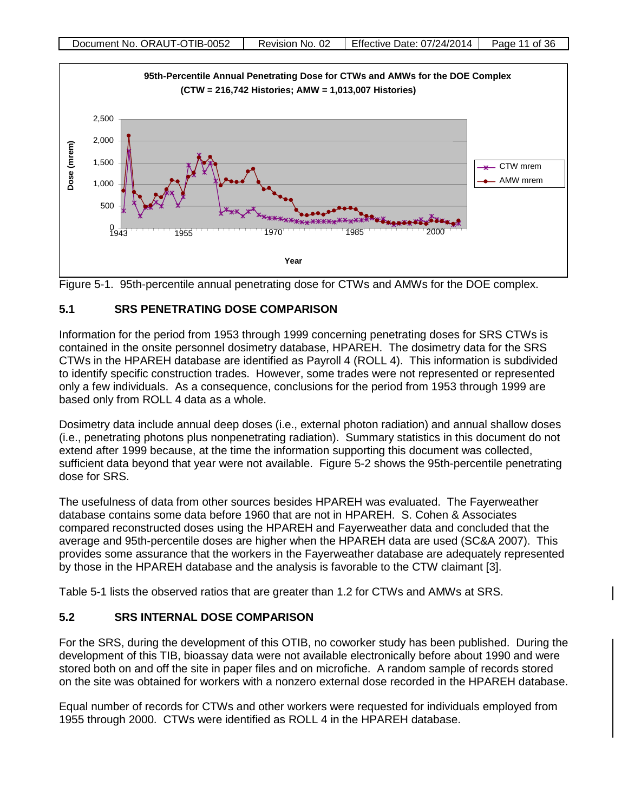



# **5.1 SRS PENETRATING DOSE COMPARISON**

Information for the period from 1953 through 1999 concerning penetrating doses for SRS CTWs is contained in the onsite personnel dosimetry database, HPAREH. The dosimetry data for the SRS CTWs in the HPAREH database are identified as Payroll 4 (ROLL 4). This information is subdivided to identify specific construction trades. However, some trades were not represented or represented only a few individuals. As a consequence, conclusions for the period from 1953 through 1999 are based only from ROLL 4 data as a whole.

Dosimetry data include annual deep doses (i.e., external photon radiation) and annual shallow doses (i.e., penetrating photons plus nonpenetrating radiation). Summary statistics in this document do not extend after 1999 because, at the time the information supporting this document was collected, sufficient data beyond that year were not available. Figure 5-2 shows the 95th-percentile penetrating dose for SRS.

The usefulness of data from other sources besides HPAREH was evaluated. The Fayerweather database contains some data before 1960 that are not in HPAREH. S. Cohen & Associates compared reconstructed doses using the HPAREH and Fayerweather data and concluded that the average and 95th-percentile doses are higher when the HPAREH data are used (SC&A 2007). This provides some assurance that the workers in the Fayerweather database are adequately represented by those in the HPAREH database and the analysis is favorable to the CTW claimant [3].

Table 5-1 lists the observed ratios that are greater than 1.2 for CTWs and AMWs at SRS.

### **5.2 SRS INTERNAL DOSE COMPARISON**

For the SRS, during the development of this OTIB, no coworker study has been published. During the development of this TIB, bioassay data were not available electronically before about 1990 and were stored both on and off the site in paper files and on microfiche. A random sample of records stored on the site was obtained for workers with a nonzero external dose recorded in the HPAREH database.

Equal number of records for CTWs and other workers were requested for individuals employed from 1955 through 2000. CTWs were identified as ROLL 4 in the HPAREH database.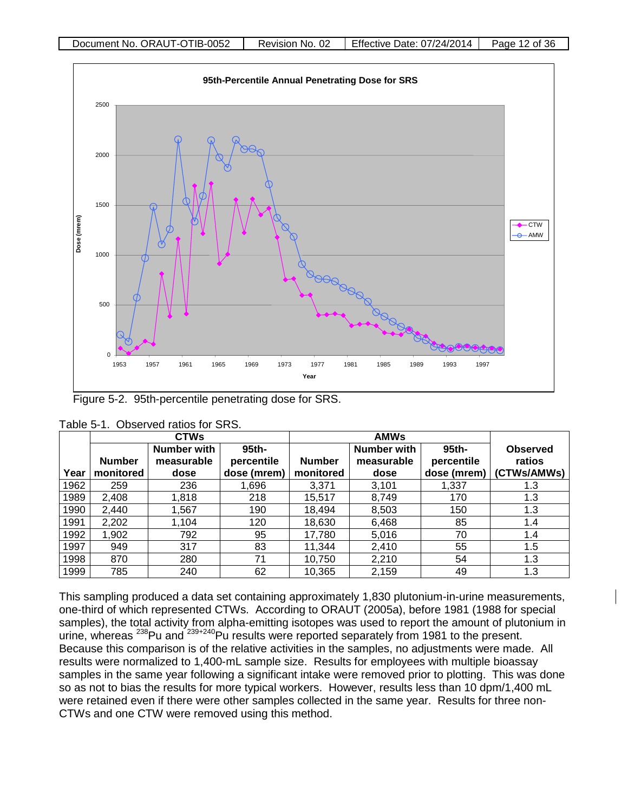

Figure 5-2. 95th-percentile penetrating dose for SRS.

|      | <b>CTWs</b>   |                    |             |               |             |                  |                 |
|------|---------------|--------------------|-------------|---------------|-------------|------------------|-----------------|
|      |               | <b>Number with</b> | 95th-       |               | Number with | 95 <sub>th</sub> | <b>Observed</b> |
|      | <b>Number</b> | measurable         | percentile  | <b>Number</b> | measurable  | percentile       | ratios          |
| Year | monitored     | dose               | dose (mrem) | monitored     | dose        | dose (mrem)      | (CTWs/AMWs)     |
| 1962 | 259           | 236                | 1,696       | 3,371         | 3,101       | 1,337            | 1.3             |
| 1989 | 2.408         | 1.818              | 218         | 15,517        | 8.749       | 170              | 1.3             |
| 1990 | 2,440         | 1,567              | 190         | 18,494        | 8,503       | 150              | 1.3             |
| 1991 | 2,202         | 1,104              | 120         | 18,630        | 6,468       | 85               | 1.4             |
| 1992 | 1,902         | 792                | 95          | 17,780        | 5,016       | 70               | 1.4             |
| 1997 | 949           | 317                | 83          | 11,344        | 2,410       | 55               | 1.5             |
| 1998 | 870           | 280                | 71          | 10,750        | 2,210       | 54               | 1.3             |
| 1999 | 785           | 240                | 62          | 10,365        | 2,159       | 49               | 1.3             |

| Table 5-1. Observed ratios for SRS. |
|-------------------------------------|
|-------------------------------------|

This sampling produced a data set containing approximately 1,830 plutonium-in-urine measurements, one-third of which represented CTWs. According to ORAUT (2005a), before 1981 (1988 for special samples), the total activity from alpha-emitting isotopes was used to report the amount of plutonium in urine, whereas <sup>238</sup>Pu and <sup>239+240</sup>Pu results were reported separately from 1981 to the present. Because this comparison is of the relative activities in the samples, no adjustments were made. All results were normalized to 1,400-mL sample size. Results for employees with multiple bioassay samples in the same year following a significant intake were removed prior to plotting. This was done so as not to bias the results for more typical workers. However, results less than 10 dpm/1,400 mL were retained even if there were other samples collected in the same year. Results for three non-CTWs and one CTW were removed using this method.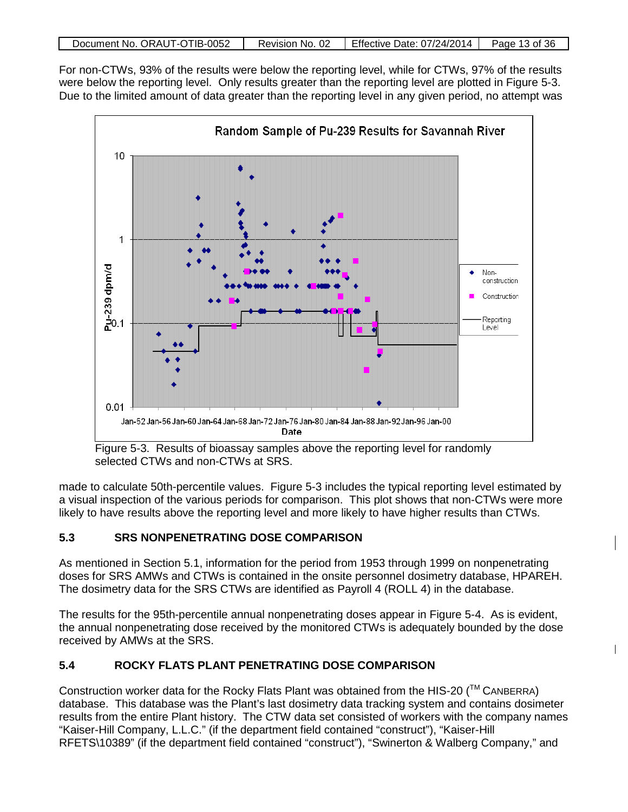| Document No. ORAUT-OTIB-0052 | Revision No. 02 | Effective Date: 07/24/2014 | Page 13 of 36 |
|------------------------------|-----------------|----------------------------|---------------|
|                              |                 |                            |               |

For non-CTWs, 93% of the results were below the reporting level, while for CTWs, 97% of the results were below the reporting level. Only results greater than the reporting level are plotted in Figure 5-3. Due to the limited amount of data greater than the reporting level in any given period, no attempt was



Figure 5-3. Results of bioassay samples above the reporting level for randomly selected CTWs and non-CTWs at SRS.

made to calculate 50th-percentile values. Figure 5-3 includes the typical reporting level estimated by a visual inspection of the various periods for comparison. This plot shows that non-CTWs were more likely to have results above the reporting level and more likely to have higher results than CTWs.

# **5.3 SRS NONPENETRATING DOSE COMPARISON**

As mentioned in Section 5.1, information for the period from 1953 through 1999 on nonpenetrating doses for SRS AMWs and CTWs is contained in the onsite personnel dosimetry database, HPAREH. The dosimetry data for the SRS CTWs are identified as Payroll 4 (ROLL 4) in the database.

The results for the 95th-percentile annual nonpenetrating doses appear in Figure 5-4. As is evident, the annual nonpenetrating dose received by the monitored CTWs is adequately bounded by the dose received by AMWs at the SRS.

 $\mathbf{I}$ 

# **5.4 ROCKY FLATS PLANT PENETRATING DOSE COMPARISON**

Construction worker data for the Rocky Flats Plant was obtained from the HIS-20 ( $\text{TM}$  CANBERRA) database. This database was the Plant's last dosimetry data tracking system and contains dosimeter results from the entire Plant history. The CTW data set consisted of workers with the company names "Kaiser-Hill Company, L.L.C." (if the department field contained "construct"), "Kaiser-Hill RFETS\10389" (if the department field contained "construct"), "Swinerton & Walberg Company," and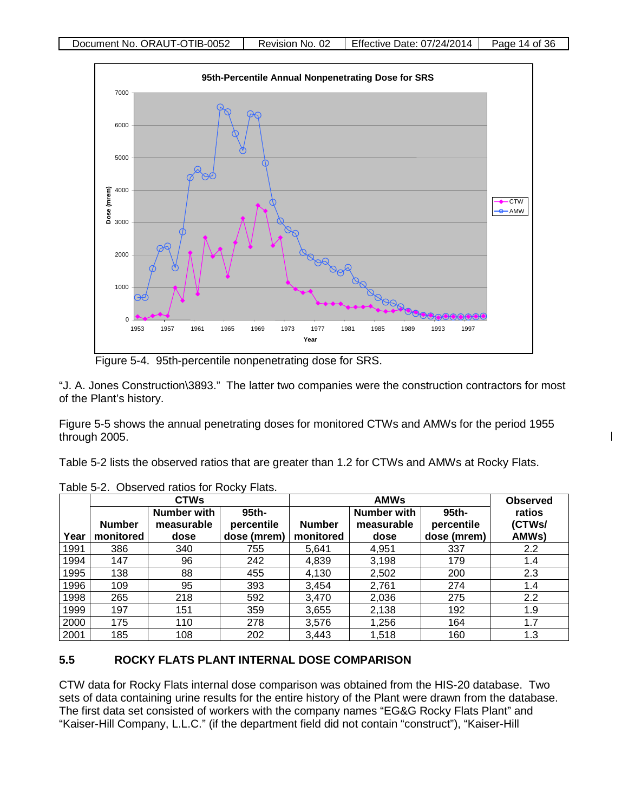

Figure 5-4. 95th-percentile nonpenetrating dose for SRS.

"J. A. Jones Construction\3893." The latter two companies were the construction contractors for most of the Plant's history.

Figure 5-5 shows the annual penetrating doses for monitored CTWs and AMWs for the period 1955 through 2005.

 $\mathbf{I}$ 

Table 5-2 lists the observed ratios that are greater than 1.2 for CTWs and AMWs at Rocky Flats.

|      | <b>CTWs</b>   |                    |             |               | <b>Observed</b> |             |               |
|------|---------------|--------------------|-------------|---------------|-----------------|-------------|---------------|
|      |               | <b>Number with</b> | 95th-       |               | Number with     | 95th-       | ratios        |
|      | <b>Number</b> | measurable         | percentile  | <b>Number</b> | measurable      | percentile  | (CTWs/        |
| Year | monitored     | dose               | dose (mrem) | monitored     | dose            | dose (mrem) | AMWs)         |
| 1991 | 386           | 340                | 755         | 5,641         | 4,951           | 337         | $2.2^{\circ}$ |
| 1994 | 147           | 96                 | 242         | 4,839         | 3,198           | 179         | $1.4^{\circ}$ |
| 1995 | 138           | 88                 | 455         | 4,130         | 2,502           | 200         | 2.3           |
| 1996 | 109           | 95                 | 393         | 3,454         | 2,761           | 274         | $1.4^{\circ}$ |
| 1998 | 265           | 218                | 592         | 3.470         | 2,036           | 275         | 2.2           |
| 1999 | 197           | 151                | 359         | 3,655         | 2,138           | 192         | 1.9           |
| 2000 | 175           | 110                | 278         | 3,576         | 1,256           | 164         | 1.7           |
| 2001 | 185           | 108                | 202         | 3,443         | 1,518           | 160         | 1.3           |

Table 5-2. Observed ratios for Rocky Flats.

# **5.5 ROCKY FLATS PLANT INTERNAL DOSE COMPARISON**

CTW data for Rocky Flats internal dose comparison was obtained from the HIS-20 database. Two sets of data containing urine results for the entire history of the Plant were drawn from the database. The first data set consisted of workers with the company names "EG&G Rocky Flats Plant" and "Kaiser-Hill Company, L.L.C." (if the department field did not contain "construct"), "Kaiser-Hill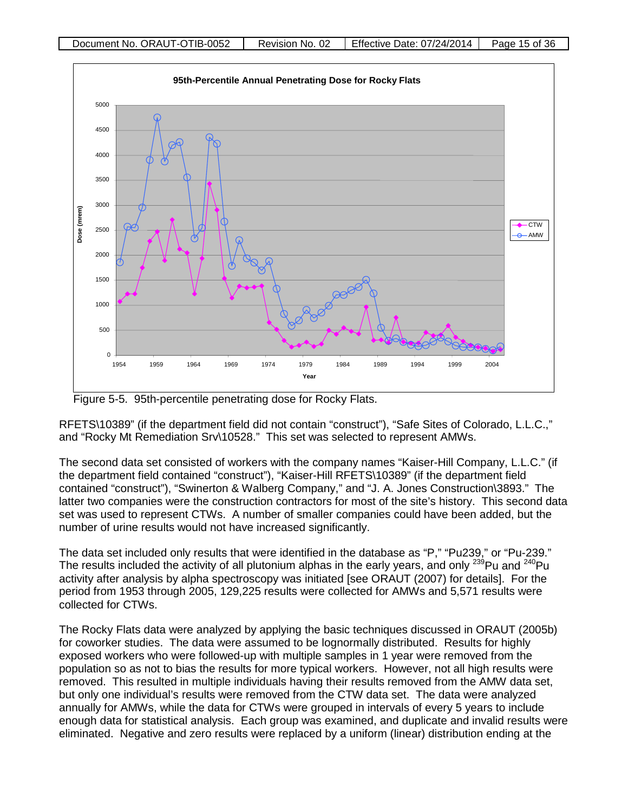



RFETS\10389" (if the department field did not contain "construct"), "Safe Sites of Colorado, L.L.C.," and "Rocky Mt Remediation Srv\10528." This set was selected to represent AMWs.

The second data set consisted of workers with the company names "Kaiser-Hill Company, L.L.C." (if the department field contained "construct"), "Kaiser-Hill RFETS\10389" (if the department field contained "construct"), "Swinerton & Walberg Company," and "J. A. Jones Construction\3893." The latter two companies were the construction contractors for most of the site's history. This second data set was used to represent CTWs. A number of smaller companies could have been added, but the number of urine results would not have increased significantly.

The data set included only results that were identified in the database as "P," "Pu239," or "Pu-239." The results included the activity of all plutonium alphas in the early years, and only  $^{239}$ Pu and  $^{240}$ Pu activity after analysis by alpha spectroscopy was initiated [see ORAUT (2007) for details]. For the period from 1953 through 2005, 129,225 results were collected for AMWs and 5,571 results were collected for CTWs.

The Rocky Flats data were analyzed by applying the basic techniques discussed in ORAUT (2005b) for coworker studies. The data were assumed to be lognormally distributed. Results for highly exposed workers who were followed-up with multiple samples in 1 year were removed from the population so as not to bias the results for more typical workers. However, not all high results were removed. This resulted in multiple individuals having their results removed from the AMW data set, but only one individual's results were removed from the CTW data set. The data were analyzed annually for AMWs, while the data for CTWs were grouped in intervals of every 5 years to include enough data for statistical analysis. Each group was examined, and duplicate and invalid results were eliminated. Negative and zero results were replaced by a uniform (linear) distribution ending at the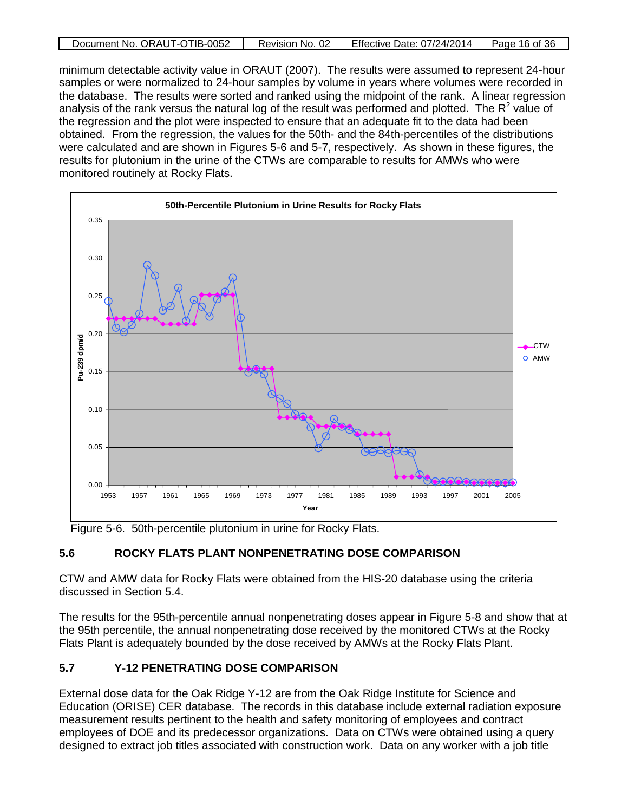| Document No. ORAUT-OTIB-0052 | Revision No. 02 | Effective Date: 07/24/2014 | Page 16 of 36 |
|------------------------------|-----------------|----------------------------|---------------|
|                              |                 |                            |               |

minimum detectable activity value in ORAUT (2007). The results were assumed to represent 24-hour samples or were normalized to 24-hour samples by volume in years where volumes were recorded in the database. The results were sorted and ranked using the midpoint of the rank. A linear regression analysis of the rank versus the natural log of the result was performed and plotted. The  $R^2$  value of the regression and the plot were inspected to ensure that an adequate fit to the data had been obtained. From the regression, the values for the 50th- and the 84th-percentiles of the distributions were calculated and are shown in Figures 5-6 and 5-7, respectively. As shown in these figures, the results for plutonium in the urine of the CTWs are comparable to results for AMWs who were monitored routinely at Rocky Flats.



Figure 5-6. 50th-percentile plutonium in urine for Rocky Flats.

### **5.6 ROCKY FLATS PLANT NONPENETRATING DOSE COMPARISON**

CTW and AMW data for Rocky Flats were obtained from the HIS-20 database using the criteria discussed in Section 5.4.

The results for the 95th-percentile annual nonpenetrating doses appear in Figure 5-8 and show that at the 95th percentile, the annual nonpenetrating dose received by the monitored CTWs at the Rocky Flats Plant is adequately bounded by the dose received by AMWs at the Rocky Flats Plant.

### **5.7 Y-12 PENETRATING DOSE COMPARISON**

External dose data for the Oak Ridge Y-12 are from the Oak Ridge Institute for Science and Education (ORISE) CER database. The records in this database include external radiation exposure measurement results pertinent to the health and safety monitoring of employees and contract employees of DOE and its predecessor organizations. Data on CTWs were obtained using a query designed to extract job titles associated with construction work. Data on any worker with a job title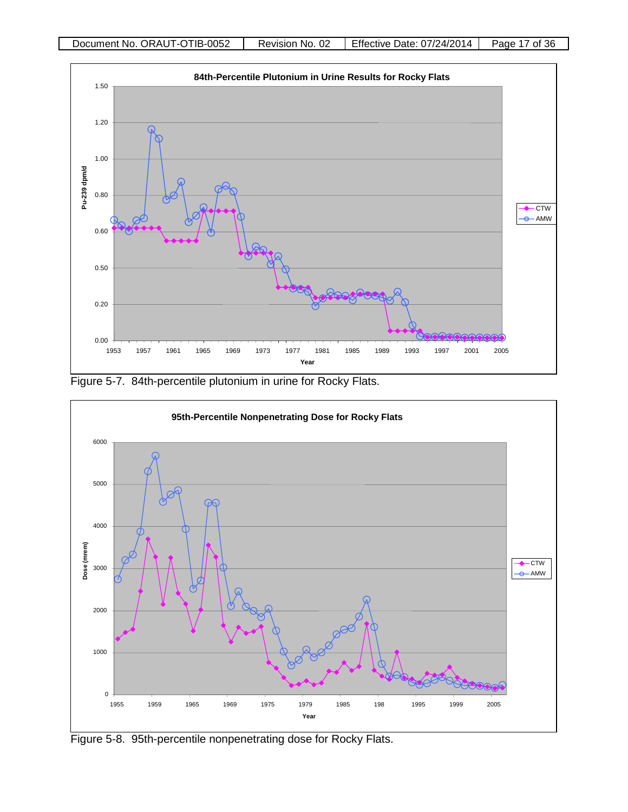

Figure 5-7. 84th-percentile plutonium in urine for Rocky Flats.



Figure 5-8. 95th-percentile nonpenetrating dose for Rocky Flats.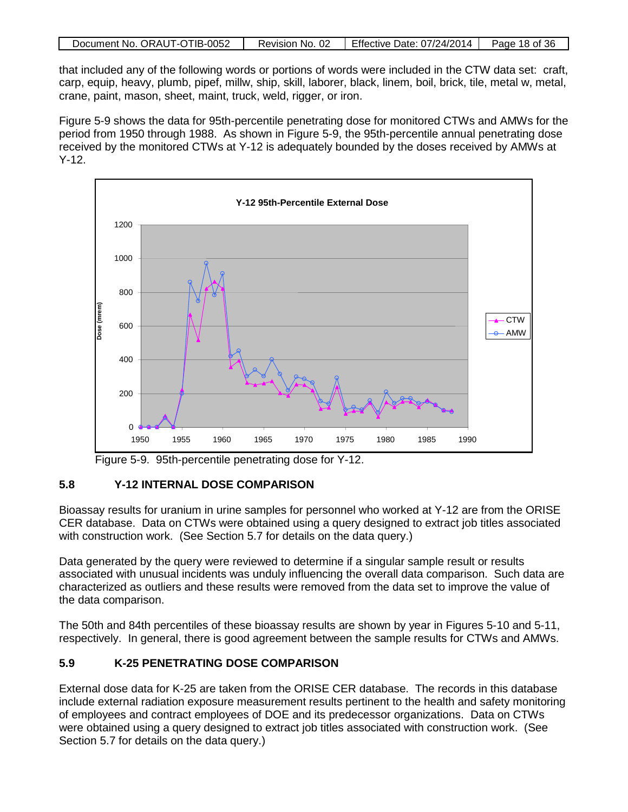| Document No. ORAUT-OTIB-0052 | Revision No. 02 | Effective Date: $07/24/2014$ Page 18 of 36 |  |
|------------------------------|-----------------|--------------------------------------------|--|

that included any of the following words or portions of words were included in the CTW data set: craft, carp, equip, heavy, plumb, pipef, millw, ship, skill, laborer, black, linem, boil, brick, tile, metal w, metal, crane, paint, mason, sheet, maint, truck, weld, rigger, or iron.

Figure 5-9 shows the data for 95th-percentile penetrating dose for monitored CTWs and AMWs for the period from 1950 through 1988. As shown in Figure 5-9, the 95th-percentile annual penetrating dose received by the monitored CTWs at Y-12 is adequately bounded by the doses received by AMWs at Y-12.



Figure 5-9. 95th-percentile penetrating dose for Y-12.

# **5.8 Y-12 INTERNAL DOSE COMPARISON**

Bioassay results for uranium in urine samples for personnel who worked at Y-12 are from the ORISE CER database. Data on CTWs were obtained using a query designed to extract job titles associated with construction work. (See Section 5.7 for details on the data query.)

Data generated by the query were reviewed to determine if a singular sample result or results associated with unusual incidents was unduly influencing the overall data comparison. Such data are characterized as outliers and these results were removed from the data set to improve the value of the data comparison.

The 50th and 84th percentiles of these bioassay results are shown by year in Figures 5-10 and 5-11, respectively. In general, there is good agreement between the sample results for CTWs and AMWs.

# **5.9 K-25 PENETRATING DOSE COMPARISON**

External dose data for K-25 are taken from the ORISE CER database. The records in this database include external radiation exposure measurement results pertinent to the health and safety monitoring of employees and contract employees of DOE and its predecessor organizations. Data on CTWs were obtained using a query designed to extract job titles associated with construction work. (See Section 5.7 for details on the data query.)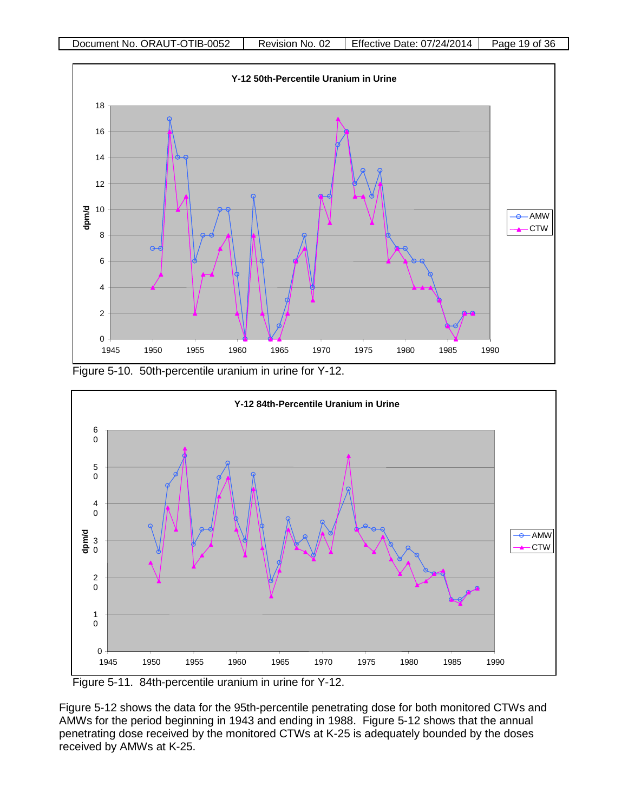





Figure 5-11. 84th-percentile uranium in urine for Y-12.

Figure 5-12 shows the data for the 95th-percentile penetrating dose for both monitored CTWs and AMWs for the period beginning in 1943 and ending in 1988. Figure 5-12 shows that the annual penetrating dose received by the monitored CTWs at K-25 is adequately bounded by the doses received by AMWs at K-25.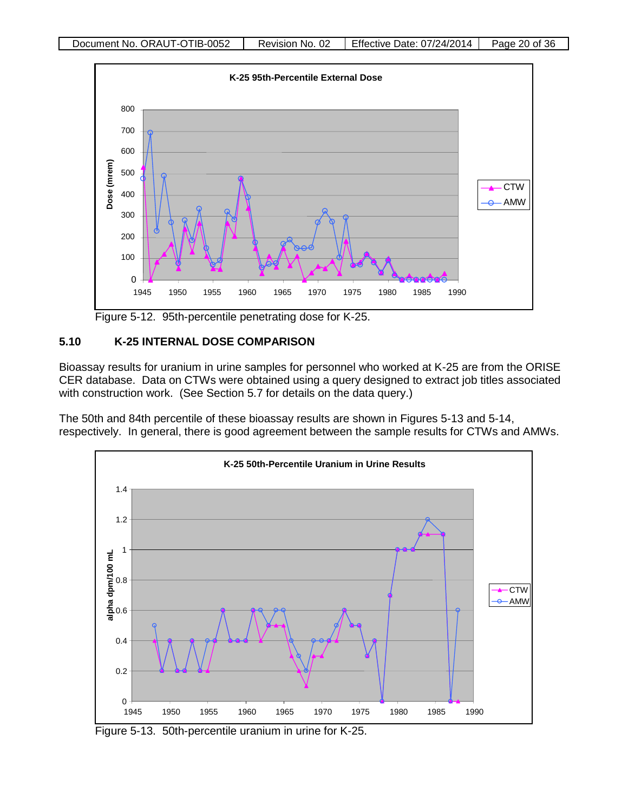

Figure 5-12. 95th-percentile penetrating dose for K-25.

# **5.10 K-25 INTERNAL DOSE COMPARISON**

Bioassay results for uranium in urine samples for personnel who worked at K-25 are from the ORISE CER database. Data on CTWs were obtained using a query designed to extract job titles associated with construction work. (See Section 5.7 for details on the data query.)

The 50th and 84th percentile of these bioassay results are shown in Figures 5-13 and 5-14, respectively. In general, there is good agreement between the sample results for CTWs and AMWs.



Figure 5-13. 50th-percentile uranium in urine for K-25.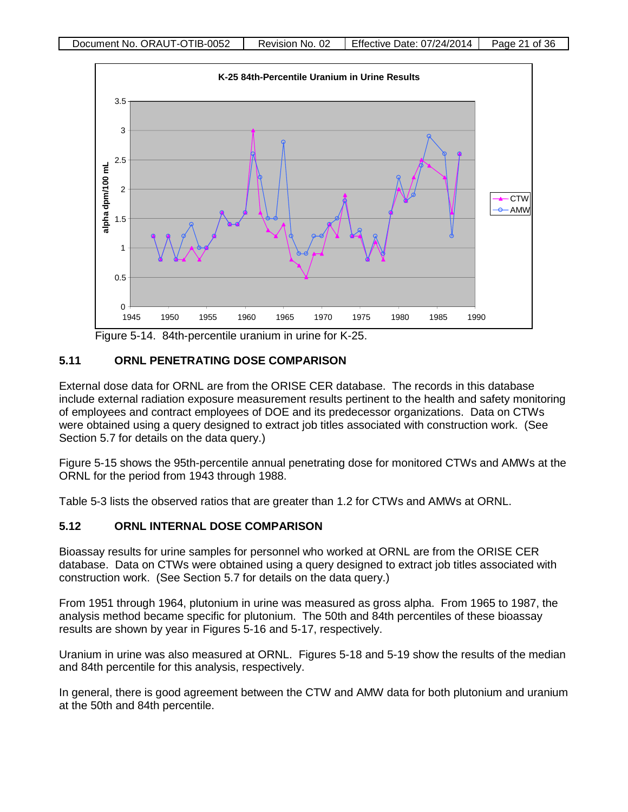

Figure 5-14. 84th-percentile uranium in urine for K-25.

### **5.11 ORNL PENETRATING DOSE COMPARISON**

External dose data for ORNL are from the ORISE CER database. The records in this database include external radiation exposure measurement results pertinent to the health and safety monitoring of employees and contract employees of DOE and its predecessor organizations. Data on CTWs were obtained using a query designed to extract job titles associated with construction work. (See Section 5.7 for details on the data query.)

Figure 5-15 shows the 95th-percentile annual penetrating dose for monitored CTWs and AMWs at the ORNL for the period from 1943 through 1988.

Table 5-3 lists the observed ratios that are greater than 1.2 for CTWs and AMWs at ORNL.

# **5.12 ORNL INTERNAL DOSE COMPARISON**

Bioassay results for urine samples for personnel who worked at ORNL are from the ORISE CER database. Data on CTWs were obtained using a query designed to extract job titles associated with construction work. (See Section 5.7 for details on the data query.)

From 1951 through 1964, plutonium in urine was measured as gross alpha. From 1965 to 1987, the analysis method became specific for plutonium. The 50th and 84th percentiles of these bioassay results are shown by year in Figures 5-16 and 5-17, respectively.

Uranium in urine was also measured at ORNL. Figures 5-18 and 5-19 show the results of the median and 84th percentile for this analysis, respectively.

In general, there is good agreement between the CTW and AMW data for both plutonium and uranium at the 50th and 84th percentile.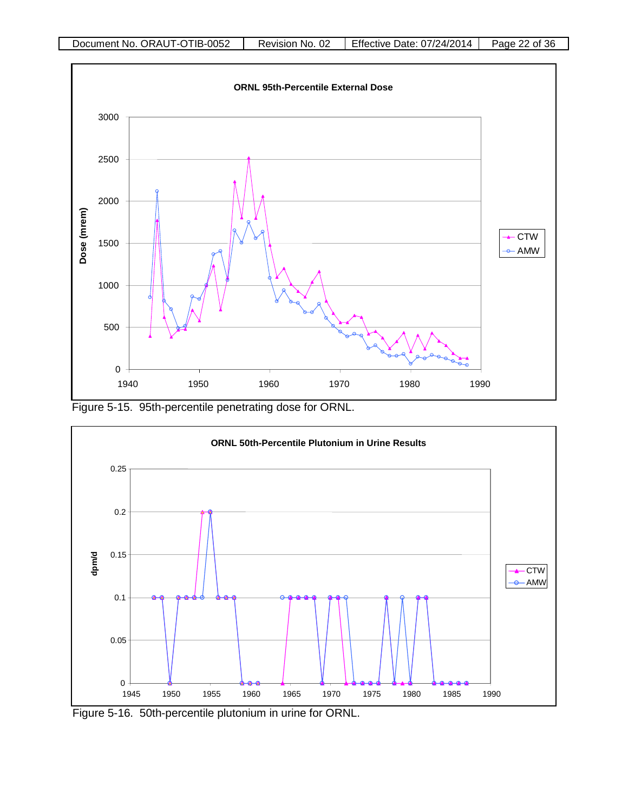

Figure 5-15. 95th-percentile penetrating dose for ORNL.



Figure 5-16. 50th-percentile plutonium in urine for ORNL.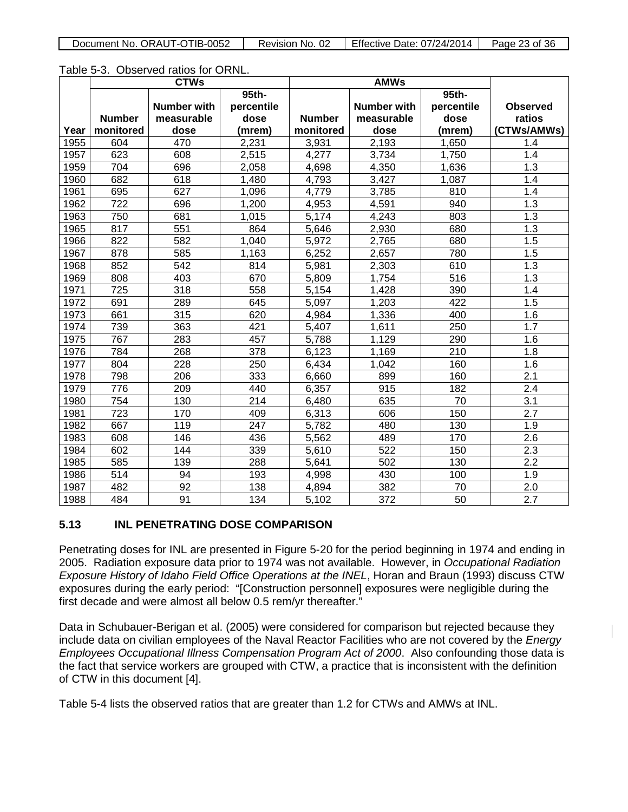| Document No. ORAUT-OTIB-0052 | Revision No. 02 | Effective Date: 07/24/2014 | Page 23 of 36 |
|------------------------------|-----------------|----------------------------|---------------|

| Table 5-3. Observed ratios for ORNL. |  |  |  |
|--------------------------------------|--|--|--|
|--------------------------------------|--|--|--|

|      | <b>CTWs</b>   |                    |            |               |                    |            |                  |
|------|---------------|--------------------|------------|---------------|--------------------|------------|------------------|
|      |               |                    | 95th-      |               |                    | 95th-      |                  |
|      |               | <b>Number with</b> | percentile |               | <b>Number with</b> | percentile | <b>Observed</b>  |
|      | <b>Number</b> | measurable         | dose       | <b>Number</b> | measurable         | dose       | ratios           |
| Year | monitored     | dose               | (mrem)     | monitored     | dose               | (mrem)     | (CTWs/AMWs)      |
| 1955 | 604           | 470                | 2,231      | 3,931         | 2,193              | 1,650      | 1.4              |
| 1957 | 623           | 608                | 2,515      | 4,277         | 3,734              | 1,750      | 1.4              |
| 1959 | 704           | 696                | 2,058      | 4,698         | 4,350              | 1,636      | 1.3              |
| 1960 | 682           | 618                | 1,480      | 4,793         | 3,427              | 1,087      | 1.4              |
| 1961 | 695           | 627                | 1,096      | 4,779         | 3,785              | 810        | 1.4              |
| 1962 | 722           | 696                | 1,200      | 4,953         | 4,591              | 940        | 1.3              |
| 1963 | 750           | 681                | 1,015      | 5,174         | 4,243              | 803        | $\overline{1.3}$ |
| 1965 | 817           | 551                | 864        | 5,646         | 2,930              | 680        | 1.3              |
| 1966 | 822           | 582                | 1,040      | 5,972         | 2,765              | 680        | 1.5              |
| 1967 | 878           | 585                | 1,163      | 6,252         | 2,657              | 780        | 1.5              |
| 1968 | 852           | 542                | 814        | 5,981         | 2,303              | 610        | 1.3              |
| 1969 | 808           | 403                | 670        | 5,809         | 1,754              | 516        | 1.3              |
| 1971 | 725           | 318                | 558        | 5,154         | 1,428              | 390        | 1.4              |
| 1972 | 691           | 289                | 645        | 5,097         | 1,203              | 422        | 1.5              |
| 1973 | 661           | 315                | 620        | 4,984         | 1,336              | 400        | 1.6              |
| 1974 | 739           | 363                | 421        | 5,407         | 1,611              | 250        | 1.7              |
| 1975 | 767           | 283                | 457        | 5,788         | 1,129              | 290        | 1.6              |
| 1976 | 784           | 268                | 378        | 6,123         | 1,169              | 210        | 1.8              |
| 1977 | 804           | 228                | 250        | 6,434         | 1,042              | 160        | 1.6              |
| 1978 | 798           | 206                | 333        | 6,660         | 899                | 160        | $\overline{2.1}$ |
| 1979 | 776           | 209                | 440        | 6,357         | 915                | 182        | 2.4              |
| 1980 | 754           | 130                | 214        | 6,480         | 635                | 70         | 3.1              |
| 1981 | 723           | 170                | 409        | 6,313         | 606                | 150        | 2.7              |
| 1982 | 667           | 119                | 247        | 5,782         | 480                | 130        | 1.9              |
| 1983 | 608           | 146                | 436        | 5,562         | 489                | 170        | 2.6              |
| 1984 | 602           | 144                | 339        | 5,610         | 522                | 150        | 2.3              |
| 1985 | 585           | 139                | 288        | 5,641         | 502                | 130        | 2.2              |
| 1986 | 514           | 94                 | 193        | 4,998         | 430                | 100        | 1.9              |
| 1987 | 482           | 92                 | 138        | 4,894         | 382                | 70         | 2.0              |
| 1988 | 484           | 91                 | 134        | 5,102         | 372                | 50         | 2.7              |

# **5.13 INL PENETRATING DOSE COMPARISON**

Penetrating doses for INL are presented in Figure 5-20 for the period beginning in 1974 and ending in 2005. Radiation exposure data prior to 1974 was not available. However, in *Occupational Radiation Exposure History of Idaho Field Office Operations at the INEL*, Horan and Braun (1993) discuss CTW exposures during the early period: "[Construction personnel] exposures were negligible during the first decade and were almost all below 0.5 rem/yr thereafter."

Data in Schubauer-Berigan et al. (2005) were considered for comparison but rejected because they include data on civilian employees of the Naval Reactor Facilities who are not covered by the *Energy Employees Occupational Illness Compensation Program Act of 2000*. Also confounding those data is the fact that service workers are grouped with CTW, a practice that is inconsistent with the definition of CTW in this document [4].

Table 5-4 lists the observed ratios that are greater than 1.2 for CTWs and AMWs at INL.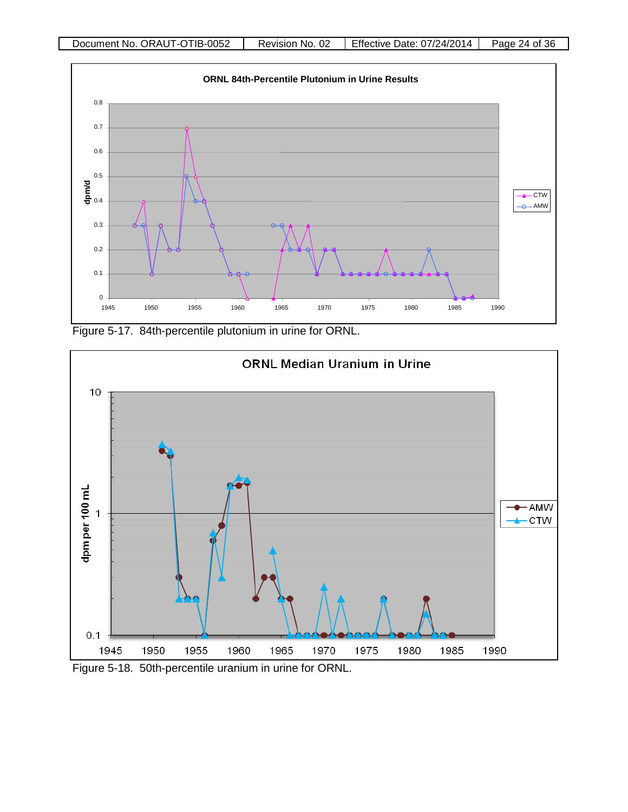

Figure 5-17. 84th-percentile plutonium in urine for ORNL.



Figure 5-18. 50th-percentile uranium in urine for ORNL.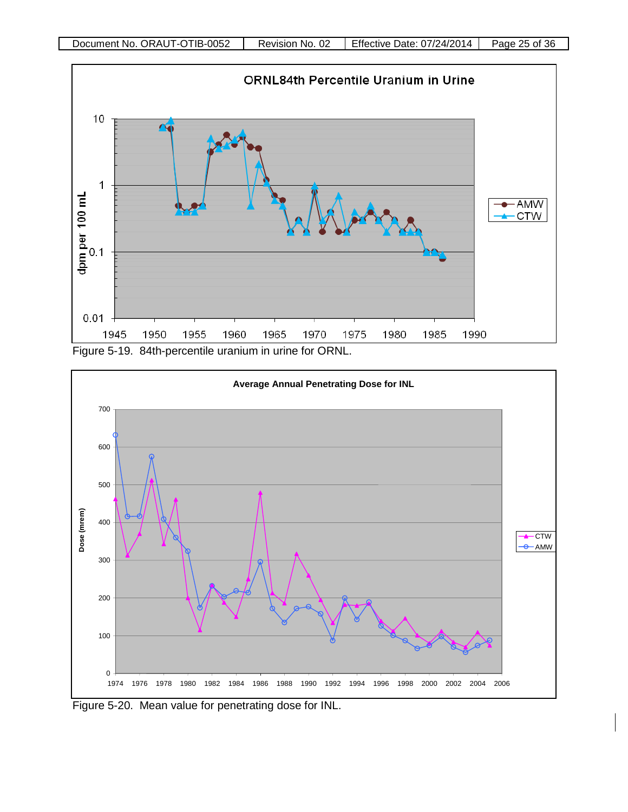



Figure 5-20. Mean value for penetrating dose for INL.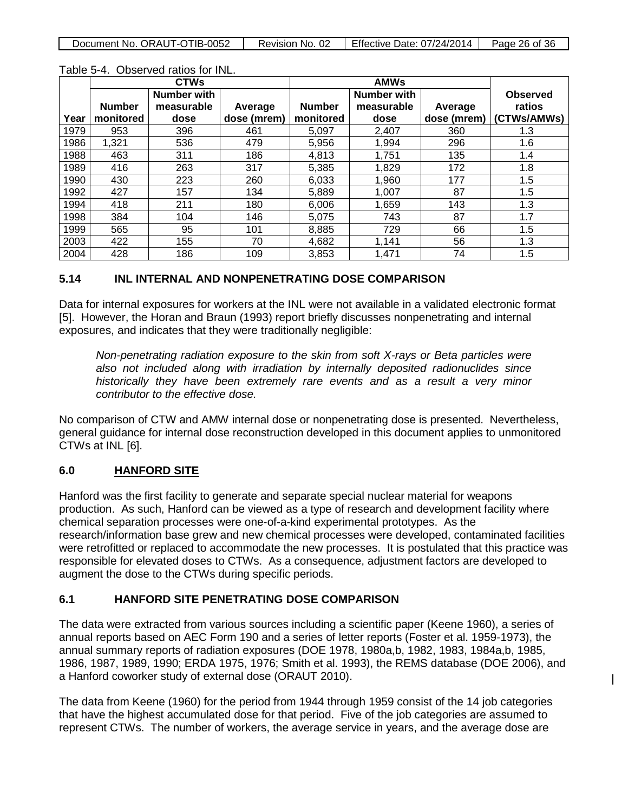| Document No. ORAUT-OTIB-0052 | Revision No. 02 | <b>Effective Date: 07/24/2014</b> | Page 26 of 36 |
|------------------------------|-----------------|-----------------------------------|---------------|
|                              |                 |                                   |               |

|      |               | <b>CTWs</b>        |             |               |             |             |                 |
|------|---------------|--------------------|-------------|---------------|-------------|-------------|-----------------|
|      |               | <b>Number with</b> |             |               | Number with |             | <b>Observed</b> |
|      | <b>Number</b> | measurable         | Average     | <b>Number</b> | measurable  | Average     | ratios          |
| Year | monitored     | dose               | dose (mrem) | monitored     | dose        | dose (mrem) | (CTWs/AMWs)     |
| 1979 | 953           | 396                | 461         | 5.097         | 2,407       | 360         | 1.3             |
| 1986 | 1,321         | 536                | 479         | 5,956         | 1,994       | 296         | 1.6             |
| 1988 | 463           | 311                | 186         | 4,813         | 1,751       | 135         | 1.4             |
| 1989 | 416           | 263                | 317         | 5,385         | 1,829       | 172         | 1.8             |
| 1990 | 430           | 223                | 260         | 6,033         | 1,960       | 177         | 1.5             |
| 1992 | 427           | 157                | 134         | 5,889         | 1,007       | 87          | 1.5             |
| 1994 | 418           | 211                | 180         | 6,006         | 1,659       | 143         | 1.3             |
| 1998 | 384           | 104                | 146         | 5,075         | 743         | 87          | 1.7             |
| 1999 | 565           | 95                 | 101         | 8.885         | 729         | 66          | 1.5             |
| 2003 | 422           | 155                | 70          | 4,682         | 1.141       | 56          | 1.3             |
| 2004 | 428           | 186                | 109         | 3,853         | 1.471       | 74          | 1.5             |

#### Table 5-4. Observed ratios for INL.

### **5.14 INL INTERNAL AND NONPENETRATING DOSE COMPARISON**

Data for internal exposures for workers at the INL were not available in a validated electronic format [5]. However, the Horan and Braun (1993) report briefly discusses nonpenetrating and internal exposures, and indicates that they were traditionally negligible:

*Non-penetrating radiation exposure to the skin from soft X-rays or Beta particles were also not included along with irradiation by internally deposited radionuclides since historically they have been extremely rare events and as a result a very minor contributor to the effective dose.*

No comparison of CTW and AMW internal dose or nonpenetrating dose is presented. Nevertheless, general guidance for internal dose reconstruction developed in this document applies to unmonitored CTWs at INL [6].

### **6.0 HANFORD SITE**

Hanford was the first facility to generate and separate special nuclear material for weapons production. As such, Hanford can be viewed as a type of research and development facility where chemical separation processes were one-of-a-kind experimental prototypes. As the research/information base grew and new chemical processes were developed, contaminated facilities were retrofitted or replaced to accommodate the new processes. It is postulated that this practice was responsible for elevated doses to CTWs. As a consequence, adjustment factors are developed to augment the dose to the CTWs during specific periods.

#### **6.1 HANFORD SITE PENETRATING DOSE COMPARISON**

The data were extracted from various sources including a scientific paper (Keene 1960), a series of annual reports based on AEC Form 190 and a series of letter reports (Foster et al. 1959-1973), the annual summary reports of radiation exposures (DOE 1978, 1980a,b, 1982, 1983, 1984a,b, 1985, 1986, 1987, 1989, 1990; ERDA 1975, 1976; Smith et al. 1993), the REMS database (DOE 2006), and a Hanford coworker study of external dose (ORAUT 2010).

 $\mathsf{I}$ 

The data from Keene (1960) for the period from 1944 through 1959 consist of the 14 job categories that have the highest accumulated dose for that period. Five of the job categories are assumed to represent CTWs. The number of workers, the average service in years, and the average dose are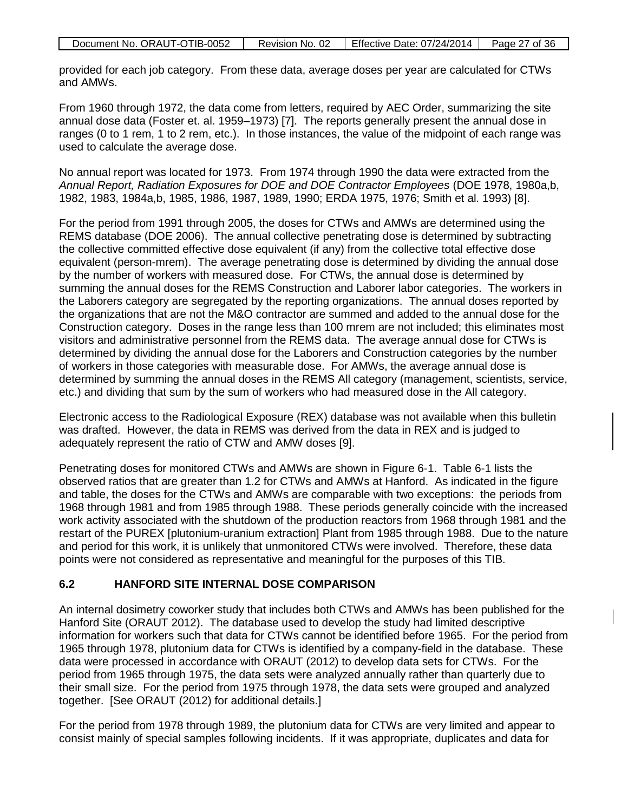| Document No. ORAUT-OTIB-0052 | Revision No. 02 | Effective Date: 07/24/2014 | Page 27 of 36 |
|------------------------------|-----------------|----------------------------|---------------|
|                              |                 |                            |               |

provided for each job category. From these data, average doses per year are calculated for CTWs and AMWs.

From 1960 through 1972, the data come from letters, required by AEC Order, summarizing the site annual dose data (Foster et. al. 1959–1973) [7]. The reports generally present the annual dose in ranges (0 to 1 rem, 1 to 2 rem, etc.). In those instances, the value of the midpoint of each range was used to calculate the average dose.

No annual report was located for 1973. From 1974 through 1990 the data were extracted from the *Annual Report, Radiation Exposures for DOE and DOE Contractor Employees* (DOE 1978, 1980a,b, 1982, 1983, 1984a,b, 1985, 1986, 1987, 1989, 1990; ERDA 1975, 1976; Smith et al. 1993) [8].

For the period from 1991 through 2005, the doses for CTWs and AMWs are determined using the REMS database (DOE 2006). The annual collective penetrating dose is determined by subtracting the collective committed effective dose equivalent (if any) from the collective total effective dose equivalent (person-mrem). The average penetrating dose is determined by dividing the annual dose by the number of workers with measured dose. For CTWs, the annual dose is determined by summing the annual doses for the REMS Construction and Laborer labor categories. The workers in the Laborers category are segregated by the reporting organizations. The annual doses reported by the organizations that are not the M&O contractor are summed and added to the annual dose for the Construction category. Doses in the range less than 100 mrem are not included; this eliminates most visitors and administrative personnel from the REMS data. The average annual dose for CTWs is determined by dividing the annual dose for the Laborers and Construction categories by the number of workers in those categories with measurable dose. For AMWs, the average annual dose is determined by summing the annual doses in the REMS All category (management, scientists, service, etc.) and dividing that sum by the sum of workers who had measured dose in the All category.

Electronic access to the Radiological Exposure (REX) database was not available when this bulletin was drafted. However, the data in REMS was derived from the data in REX and is judged to adequately represent the ratio of CTW and AMW doses [9].

Penetrating doses for monitored CTWs and AMWs are shown in Figure 6-1. Table 6-1 lists the observed ratios that are greater than 1.2 for CTWs and AMWs at Hanford. As indicated in the figure and table, the doses for the CTWs and AMWs are comparable with two exceptions: the periods from 1968 through 1981 and from 1985 through 1988. These periods generally coincide with the increased work activity associated with the shutdown of the production reactors from 1968 through 1981 and the restart of the PUREX [plutonium-uranium extraction] Plant from 1985 through 1988. Due to the nature and period for this work, it is unlikely that unmonitored CTWs were involved. Therefore, these data points were not considered as representative and meaningful for the purposes of this TIB.

#### **6.2 HANFORD SITE INTERNAL DOSE COMPARISON**

An internal dosimetry coworker study that includes both CTWs and AMWs has been published for the Hanford Site (ORAUT 2012). The database used to develop the study had limited descriptive information for workers such that data for CTWs cannot be identified before 1965. For the period from 1965 through 1978, plutonium data for CTWs is identified by a company-field in the database. These data were processed in accordance with ORAUT (2012) to develop data sets for CTWs. For the period from 1965 through 1975, the data sets were analyzed annually rather than quarterly due to their small size. For the period from 1975 through 1978, the data sets were grouped and analyzed together. [See ORAUT (2012) for additional details.]

For the period from 1978 through 1989, the plutonium data for CTWs are very limited and appear to consist mainly of special samples following incidents. If it was appropriate, duplicates and data for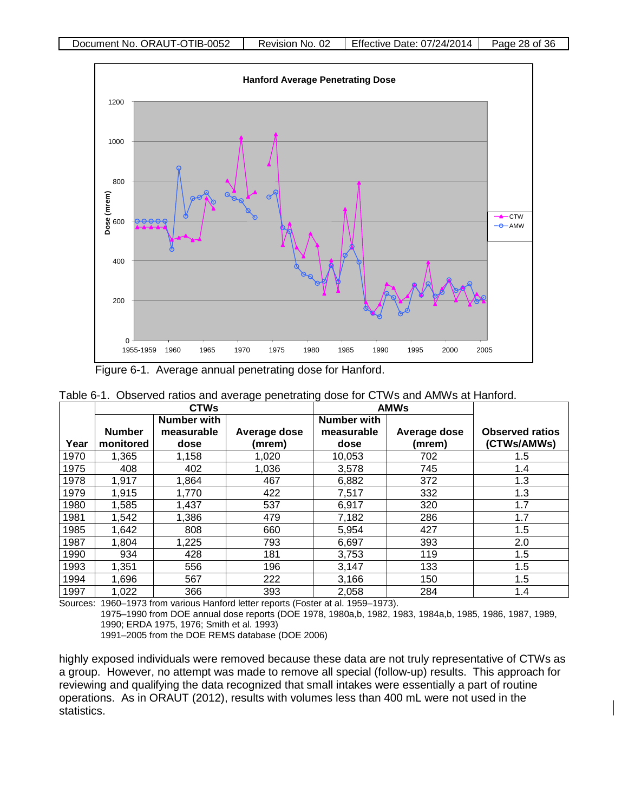

Figure 6-1. Average annual penetrating dose for Hanford.

|      | <b>CTWs</b>   |                    | <b>AMWs</b>  |                    |              |                        |
|------|---------------|--------------------|--------------|--------------------|--------------|------------------------|
|      |               | <b>Number with</b> |              | <b>Number with</b> |              |                        |
|      | <b>Number</b> | measurable         | Average dose | measurable         | Average dose | <b>Observed ratios</b> |
| Year | monitored     | dose               | (mrem)       | dose               | (mrem)       | (CTWs/AMWs)            |
| 1970 | 1,365         | 1,158              | 1,020        | 10,053             | 702          | 1.5                    |
| 1975 | 408           | 402                | 1,036        | 3,578              | 745          | 1.4                    |
| 1978 | 1.917         | 1,864              | 467          | 6,882              | 372          | 1.3                    |
| 1979 | 1,915         | 1,770              | 422          | 7,517              | 332          | 1.3                    |
| 1980 | 1,585         | 1,437              | 537          | 6,917              | 320          | 1.7                    |
| 1981 | 1,542         | 1,386              | 479          | 7,182              | 286          | 1.7                    |
| 1985 | 1,642         | 808                | 660          | 5,954              | 427          | 1.5                    |
| 1987 | 1,804         | 1,225              | 793          | 6,697              | 393          | 2.0                    |
| 1990 | 934           | 428                | 181          | 3,753              | 119          | 1.5                    |
| 1993 | 1,351         | 556                | 196          | 3,147              | 133          | 1.5                    |
| 1994 | 1,696         | 567                | 222          | 3,166              | 150          | 1.5                    |
| 1997 | 1,022         | 366                | 393          | 2,058              | 284          | 1.4                    |

Sources: 1960–1973 from various Hanford letter reports (Foster at al. 1959–1973).

1975–1990 from DOE annual dose reports (DOE 1978, 1980a,b, 1982, 1983, 1984a,b, 1985, 1986, 1987, 1989, 1990; ERDA 1975, 1976; Smith et al. 1993)

1991–2005 from the DOE REMS database (DOE 2006)

highly exposed individuals were removed because these data are not truly representative of CTWs as a group. However, no attempt was made to remove all special (follow-up) results. This approach for reviewing and qualifying the data recognized that small intakes were essentially a part of routine operations. As in ORAUT (2012), results with volumes less than 400 mL were not used in the statistics.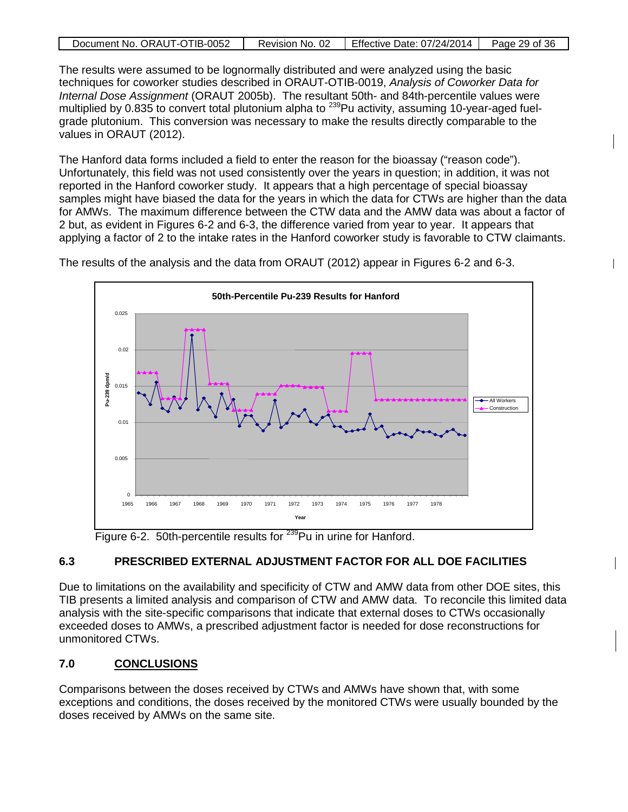|  | Document No. ORAUT-OTIB-0052 | Revision No. 02 | Effective Date: 07/24/2014 | Page 29 of 36 |
|--|------------------------------|-----------------|----------------------------|---------------|
|--|------------------------------|-----------------|----------------------------|---------------|

The results were assumed to be lognormally distributed and were analyzed using the basic techniques for coworker studies described in ORAUT-OTIB-0019, *Analysis of Coworker Data for Internal Dose Assignment* (ORAUT 2005b). The resultant 50th- and 84th-percentile values were multiplied by 0.835 to convert total plutonium alpha to <sup>239</sup>Pu activity, assuming 10-year-aged fuelgrade plutonium. This conversion was necessary to make the results directly comparable to the values in ORAUT (2012).

The Hanford data forms included a field to enter the reason for the bioassay ("reason code"). Unfortunately, this field was not used consistently over the years in question; in addition, it was not reported in the Hanford coworker study. It appears that a high percentage of special bioassay samples might have biased the data for the years in which the data for CTWs are higher than the data for AMWs. The maximum difference between the CTW data and the AMW data was about a factor of 2 but, as evident in Figures 6-2 and 6-3, the difference varied from year to year. It appears that applying a factor of 2 to the intake rates in the Hanford coworker study is favorable to CTW claimants.

 $\mathsf{l}$ 



The results of the analysis and the data from ORAUT (2012) appear in Figures 6-2 and 6-3.

Figure 6-2. 50th-percentile results for <sup>239</sup>Pu in urine for Hanford.

# **6.3 PRESCRIBED EXTERNAL ADJUSTMENT FACTOR FOR ALL DOE FACILITIES**

Due to limitations on the availability and specificity of CTW and AMW data from other DOE sites, this TIB presents a limited analysis and comparison of CTW and AMW data. To reconcile this limited data analysis with the site-specific comparisons that indicate that external doses to CTWs occasionally exceeded doses to AMWs, a prescribed adjustment factor is needed for dose reconstructions for unmonitored CTWs.

# **7.0 CONCLUSIONS**

Comparisons between the doses received by CTWs and AMWs have shown that, with some exceptions and conditions, the doses received by the monitored CTWs were usually bounded by the doses received by AMWs on the same site.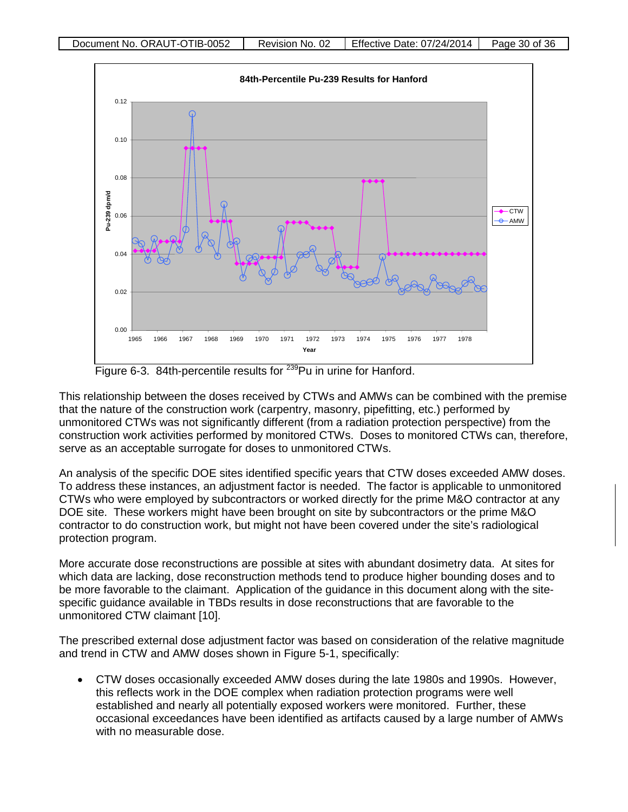

Figure 6-3. 84th-percentile results for <sup>239</sup>Pu in urine for Hanford.

This relationship between the doses received by CTWs and AMWs can be combined with the premise that the nature of the construction work (carpentry, masonry, pipefitting, etc.) performed by unmonitored CTWs was not significantly different (from a radiation protection perspective) from the construction work activities performed by monitored CTWs. Doses to monitored CTWs can, therefore, serve as an acceptable surrogate for doses to unmonitored CTWs.

An analysis of the specific DOE sites identified specific years that CTW doses exceeded AMW doses. To address these instances, an adjustment factor is needed. The factor is applicable to unmonitored CTWs who were employed by subcontractors or worked directly for the prime M&O contractor at any DOE site. These workers might have been brought on site by subcontractors or the prime M&O contractor to do construction work, but might not have been covered under the site's radiological protection program.

More accurate dose reconstructions are possible at sites with abundant dosimetry data. At sites for which data are lacking, dose reconstruction methods tend to produce higher bounding doses and to be more favorable to the claimant. Application of the guidance in this document along with the sitespecific guidance available in TBDs results in dose reconstructions that are favorable to the unmonitored CTW claimant [10].

The prescribed external dose adjustment factor was based on consideration of the relative magnitude and trend in CTW and AMW doses shown in Figure 5-1, specifically:

• CTW doses occasionally exceeded AMW doses during the late 1980s and 1990s. However, this reflects work in the DOE complex when radiation protection programs were well established and nearly all potentially exposed workers were monitored. Further, these occasional exceedances have been identified as artifacts caused by a large number of AMWs with no measurable dose.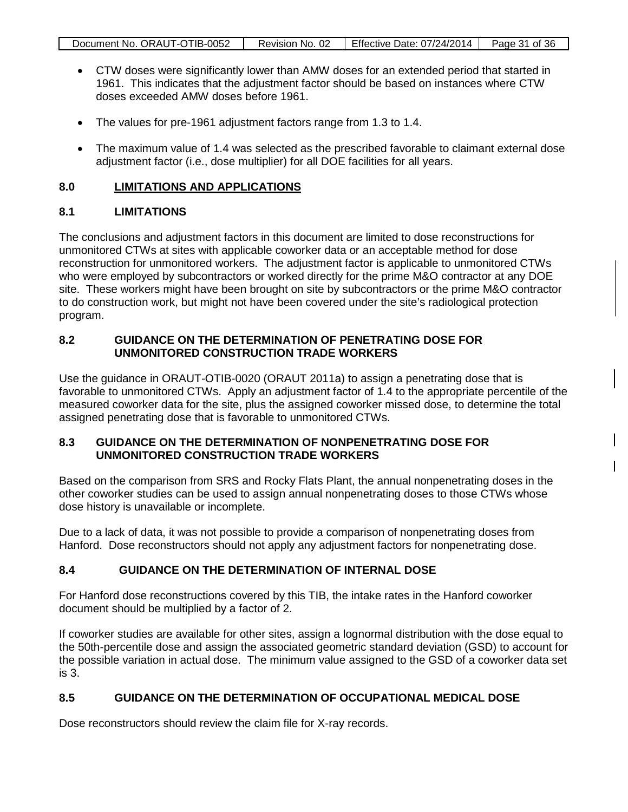| Document No. ORAUT-OTIB-0052 | Revision No. 02 | Effective Date: 07/24/2014   Page 31 of 36 |  |
|------------------------------|-----------------|--------------------------------------------|--|

- CTW doses were significantly lower than AMW doses for an extended period that started in 1961. This indicates that the adjustment factor should be based on instances where CTW doses exceeded AMW doses before 1961.
- The values for pre-1961 adjustment factors range from 1.3 to 1.4.
- The maximum value of 1.4 was selected as the prescribed favorable to claimant external dose adjustment factor (i.e., dose multiplier) for all DOE facilities for all years.

### **8.0 LIMITATIONS AND APPLICATIONS**

# **8.1 LIMITATIONS**

The conclusions and adjustment factors in this document are limited to dose reconstructions for unmonitored CTWs at sites with applicable coworker data or an acceptable method for dose reconstruction for unmonitored workers. The adjustment factor is applicable to unmonitored CTWs who were employed by subcontractors or worked directly for the prime M&O contractor at any DOE site. These workers might have been brought on site by subcontractors or the prime M&O contractor to do construction work, but might not have been covered under the site's radiological protection program.

### **8.2 GUIDANCE ON THE DETERMINATION OF PENETRATING DOSE FOR UNMONITORED CONSTRUCTION TRADE WORKERS**

Use the guidance in ORAUT-OTIB-0020 (ORAUT 2011a) to assign a penetrating dose that is favorable to unmonitored CTWs. Apply an adjustment factor of 1.4 to the appropriate percentile of the measured coworker data for the site, plus the assigned coworker missed dose, to determine the total assigned penetrating dose that is favorable to unmonitored CTWs.

### **8.3 GUIDANCE ON THE DETERMINATION OF NONPENETRATING DOSE FOR UNMONITORED CONSTRUCTION TRADE WORKERS**

Based on the comparison from SRS and Rocky Flats Plant, the annual nonpenetrating doses in the other coworker studies can be used to assign annual nonpenetrating doses to those CTWs whose dose history is unavailable or incomplete.

 $\mathsf{l}$ 

Due to a lack of data, it was not possible to provide a comparison of nonpenetrating doses from Hanford. Dose reconstructors should not apply any adjustment factors for nonpenetrating dose.

# **8.4 GUIDANCE ON THE DETERMINATION OF INTERNAL DOSE**

For Hanford dose reconstructions covered by this TIB, the intake rates in the Hanford coworker document should be multiplied by a factor of 2.

If coworker studies are available for other sites, assign a lognormal distribution with the dose equal to the 50th-percentile dose and assign the associated geometric standard deviation (GSD) to account for the possible variation in actual dose. The minimum value assigned to the GSD of a coworker data set is 3.

# **8.5 GUIDANCE ON THE DETERMINATION OF OCCUPATIONAL MEDICAL DOSE**

Dose reconstructors should review the claim file for X-ray records.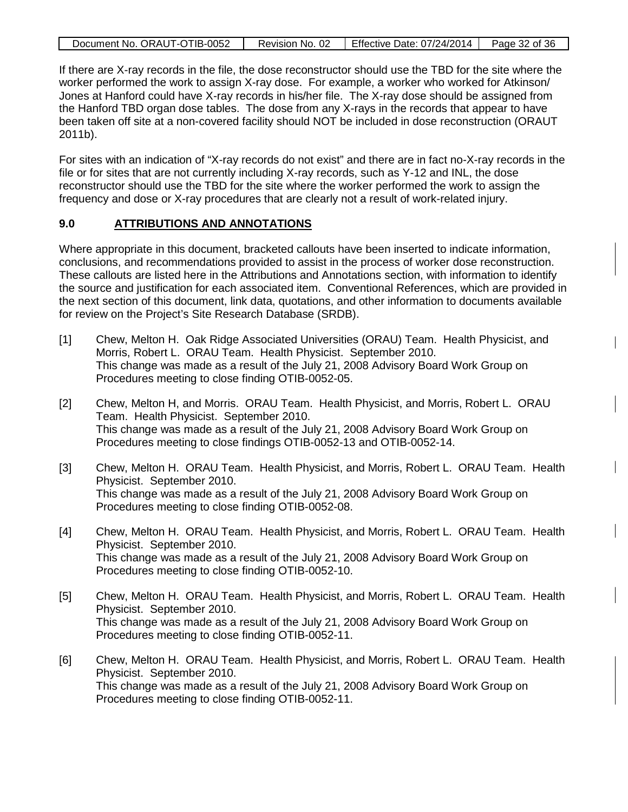| Document No. ORAUT-OTIB-0052 | Revision No. 02 | Effective Date: 07/24/2014 | Page 32 of 36 |
|------------------------------|-----------------|----------------------------|---------------|

If there are X-ray records in the file, the dose reconstructor should use the TBD for the site where the worker performed the work to assign X-ray dose. For example, a worker who worked for Atkinson/ Jones at Hanford could have X-ray records in his/her file. The X-ray dose should be assigned from the Hanford TBD organ dose tables. The dose from any X-rays in the records that appear to have been taken off site at a non-covered facility should NOT be included in dose reconstruction (ORAUT 2011b).

For sites with an indication of "X-ray records do not exist" and there are in fact no-X-ray records in the file or for sites that are not currently including X-ray records, such as Y-12 and INL, the dose reconstructor should use the TBD for the site where the worker performed the work to assign the frequency and dose or X-ray procedures that are clearly not a result of work-related injury.

#### **9.0 ATTRIBUTIONS AND ANNOTATIONS**

Where appropriate in this document, bracketed callouts have been inserted to indicate information, conclusions, and recommendations provided to assist in the process of worker dose reconstruction. These callouts are listed here in the Attributions and Annotations section, with information to identify the source and justification for each associated item. Conventional References, which are provided in the next section of this document, link data, quotations, and other information to documents available for review on the Project's Site Research Database (SRDB).

- [1] Chew, Melton H. Oak Ridge Associated Universities (ORAU) Team. Health Physicist, and Morris, Robert L. ORAU Team. Health Physicist. September 2010. This change was made as a result of the July 21, 2008 Advisory Board Work Group on Procedures meeting to close finding OTIB-0052-05.
- [2] Chew, Melton H, and Morris. ORAU Team. Health Physicist, and Morris, Robert L. ORAU Team. Health Physicist. September 2010. This change was made as a result of the July 21, 2008 Advisory Board Work Group on Procedures meeting to close findings OTIB-0052-13 and OTIB-0052-14.
- [3] Chew, Melton H. ORAU Team. Health Physicist, and Morris, Robert L. ORAU Team. Health Physicist. September 2010. This change was made as a result of the July 21, 2008 Advisory Board Work Group on Procedures meeting to close finding OTIB-0052-08.
- [4] Chew, Melton H. ORAU Team. Health Physicist, and Morris, Robert L. ORAU Team. Health Physicist. September 2010. This change was made as a result of the July 21, 2008 Advisory Board Work Group on Procedures meeting to close finding OTIB-0052-10.
- [5] Chew, Melton H. ORAU Team. Health Physicist, and Morris, Robert L. ORAU Team. Health Physicist. September 2010. This change was made as a result of the July 21, 2008 Advisory Board Work Group on Procedures meeting to close finding OTIB-0052-11.
- [6] Chew, Melton H. ORAU Team. Health Physicist, and Morris, Robert L. ORAU Team. Health Physicist. September 2010. This change was made as a result of the July 21, 2008 Advisory Board Work Group on Procedures meeting to close finding OTIB-0052-11.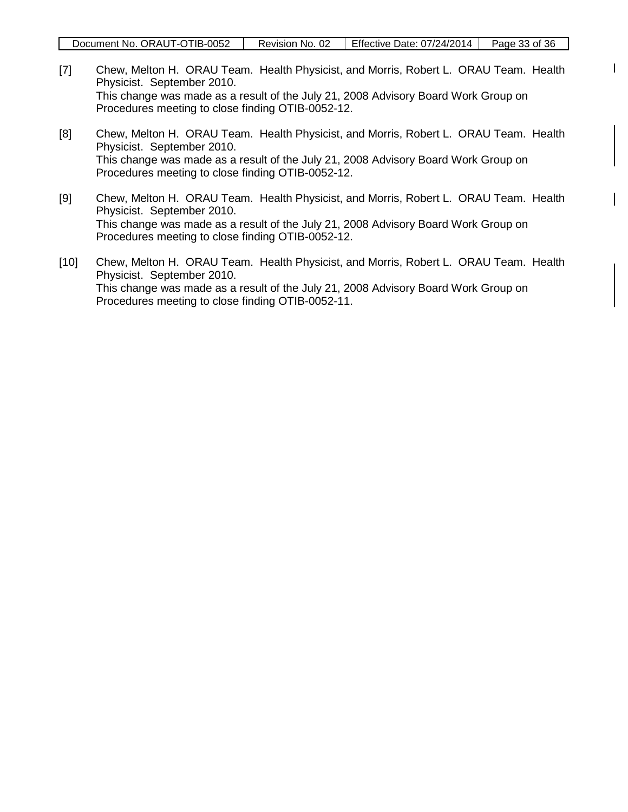$\mathbf{I}$ 

 $\mathsf{I}$ 

- [7] Chew, Melton H. ORAU Team. Health Physicist, and Morris, Robert L. ORAU Team. Health Physicist. September 2010. This change was made as a result of the July 21, 2008 Advisory Board Work Group on Procedures meeting to close finding OTIB-0052-12.
- [8] Chew, Melton H. ORAU Team. Health Physicist, and Morris, Robert L. ORAU Team. Health Physicist. September 2010. This change was made as a result of the July 21, 2008 Advisory Board Work Group on Procedures meeting to close finding OTIB-0052-12.
- [9] Chew, Melton H. ORAU Team. Health Physicist, and Morris, Robert L. ORAU Team. Health Physicist. September 2010. This change was made as a result of the July 21, 2008 Advisory Board Work Group on Procedures meeting to close finding OTIB-0052-12.
- [10] Chew, Melton H. ORAU Team. Health Physicist, and Morris, Robert L. ORAU Team. Health Physicist. September 2010. This change was made as a result of the July 21, 2008 Advisory Board Work Group on Procedures meeting to close finding OTIB-0052-11.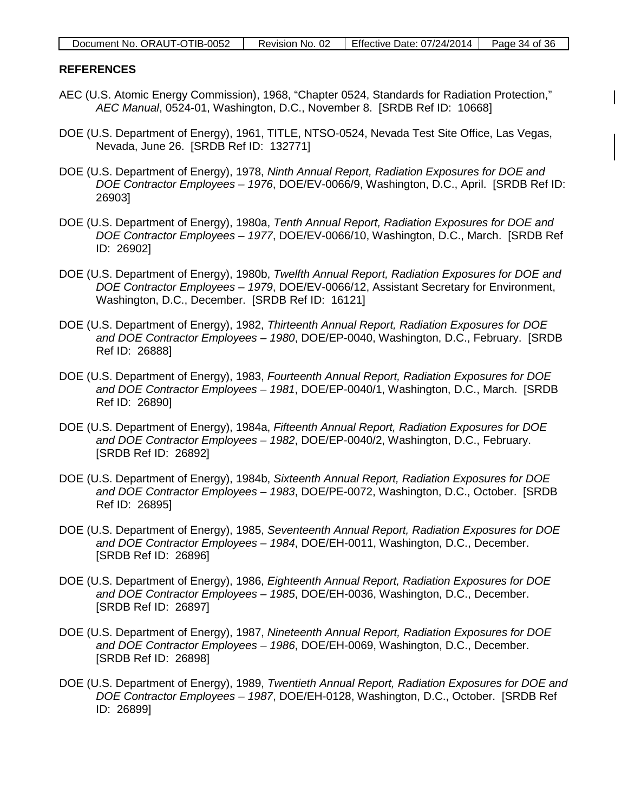| Document No. ORAUT-OTIB-0052 | Revision No. 02 | 2   Effective Date: 07/24/2014   Page 34 of 36 |  |
|------------------------------|-----------------|------------------------------------------------|--|
|------------------------------|-----------------|------------------------------------------------|--|

#### **REFERENCES**

AEC (U.S. Atomic Energy Commission), 1968, "Chapter 0524, Standards for Radiation Protection," *AEC Manual*, 0524-01, Washington, D.C., November 8. [SRDB Ref ID: 10668]

 $\mathsf{I}$ 

- DOE (U.S. Department of Energy), 1961, TITLE, NTSO-0524, Nevada Test Site Office, Las Vegas, Nevada, June 26. [SRDB Ref ID: 132771]
- DOE (U.S. Department of Energy), 1978, *Ninth Annual Report, Radiation Exposures for DOE and DOE Contractor Employees – 1976*, DOE/EV-0066/9, Washington, D.C., April. [SRDB Ref ID: 26903]
- DOE (U.S. Department of Energy), 1980a, *Tenth Annual Report, Radiation Exposures for DOE and DOE Contractor Employees – 1977*, DOE/EV-0066/10, Washington, D.C., March. [SRDB Ref ID: 26902]
- DOE (U.S. Department of Energy), 1980b, *Twelfth Annual Report, Radiation Exposures for DOE and DOE Contractor Employees – 1979*, DOE/EV-0066/12, Assistant Secretary for Environment, Washington, D.C., December. [SRDB Ref ID: 16121]
- DOE (U.S. Department of Energy), 1982, *Thirteenth Annual Report, Radiation Exposures for DOE and DOE Contractor Employees – 1980*, DOE/EP-0040, Washington, D.C., February. [SRDB Ref ID: 26888]
- DOE (U.S. Department of Energy), 1983, *Fourteenth Annual Report, Radiation Exposures for DOE and DOE Contractor Employees – 1981*, DOE/EP-0040/1, Washington, D.C., March. [SRDB Ref ID: 26890]
- DOE (U.S. Department of Energy), 1984a, *Fifteenth Annual Report, Radiation Exposures for DOE and DOE Contractor Employees – 1982*, DOE/EP-0040/2, Washington, D.C., February. [SRDB Ref ID: 26892]
- DOE (U.S. Department of Energy), 1984b, *Sixteenth Annual Report, Radiation Exposures for DOE and DOE Contractor Employees – 1983*, DOE/PE-0072, Washington, D.C., October. [SRDB Ref ID: 26895]
- DOE (U.S. Department of Energy), 1985, *Seventeenth Annual Report, Radiation Exposures for DOE and DOE Contractor Employees – 1984*, DOE/EH-0011, Washington, D.C., December. [SRDB Ref ID: 26896]
- DOE (U.S. Department of Energy), 1986, *Eighteenth Annual Report, Radiation Exposures for DOE and DOE Contractor Employees – 1985*, DOE/EH-0036, Washington, D.C., December. [SRDB Ref ID: 26897]
- DOE (U.S. Department of Energy), 1987, *Nineteenth Annual Report, Radiation Exposures for DOE and DOE Contractor Employees – 1986*, DOE/EH-0069, Washington, D.C., December. [SRDB Ref ID: 26898]
- DOE (U.S. Department of Energy), 1989, *Twentieth Annual Report, Radiation Exposures for DOE and DOE Contractor Employees – 1987*, DOE/EH-0128, Washington, D.C., October. [SRDB Ref ID: 26899]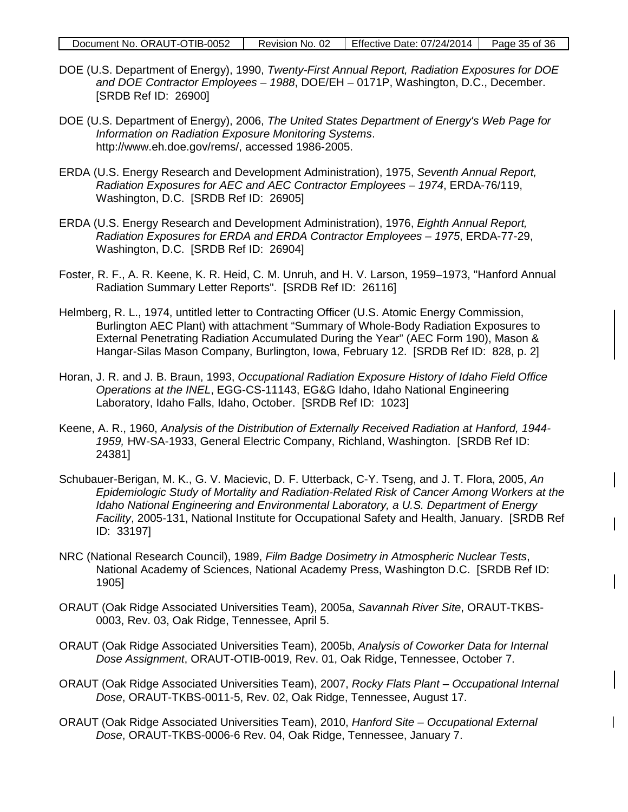| Document No. ORAUT-OTIB-0052 | Revision No. 02 | Effective Date: $07/24/2014$ Page 35 of 36 |  |
|------------------------------|-----------------|--------------------------------------------|--|
|------------------------------|-----------------|--------------------------------------------|--|

- DOE (U.S. Department of Energy), 1990, *Twenty-First Annual Report, Radiation Exposures for DOE and DOE Contractor Employees – 1988*, DOE/EH – 0171P, Washington, D.C., December. [SRDB Ref ID: 26900]
- DOE (U.S. Department of Energy), 2006, *The United States Department of Energy's Web Page for Information on Radiation Exposure Monitoring Systems*. http://www.eh.doe.gov/rems/, accessed 1986-2005.
- ERDA (U.S. Energy Research and Development Administration), 1975, *Seventh Annual Report, Radiation Exposures for AEC and AEC Contractor Employees – 1974*, ERDA-76/119, Washington, D.C. [SRDB Ref ID: 26905]
- ERDA (U.S. Energy Research and Development Administration), 1976, *Eighth Annual Report, Radiation Exposures for ERDA and ERDA Contractor Employees – 1975*, ERDA-77-29, Washington, D.C. [SRDB Ref ID: 26904]
- Foster, R. F., A. R. Keene, K. R. Heid, C. M. Unruh, and H. V. Larson, 1959–1973, "Hanford Annual Radiation Summary Letter Reports". [SRDB Ref ID: 26116]
- Helmberg, R. L., 1974, untitled letter to Contracting Officer (U.S. Atomic Energy Commission, Burlington AEC Plant) with attachment "Summary of Whole-Body Radiation Exposures to External Penetrating Radiation Accumulated During the Year" (AEC Form 190), Mason & Hangar-Silas Mason Company, Burlington, Iowa, February 12. [SRDB Ref ID: 828, p. 2]
- Horan, J. R. and J. B. Braun, 1993, *Occupational Radiation Exposure History of Idaho Field Office Operations at the INEL*, EGG-CS-11143, EG&G Idaho, Idaho National Engineering Laboratory, Idaho Falls, Idaho, October. [SRDB Ref ID: 1023]
- Keene, A. R., 1960, *Analysis of the Distribution of Externally Received Radiation at Hanford, 1944- 1959,* HW-SA-1933, General Electric Company, Richland, Washington. [SRDB Ref ID: 24381]
- Schubauer-Berigan, M. K., G. V. Macievic, D. F. Utterback, C-Y. Tseng, and J. T. Flora, 2005, *An Epidemiologic Study of Mortality and Radiation-Related Risk of Cancer Among Workers at the Idaho National Engineering and Environmental Laboratory, a U.S. Department of Energy Facility*, 2005-131, National Institute for Occupational Safety and Health, January. [SRDB Ref ID: 33197]
- NRC (National Research Council), 1989, *Film Badge Dosimetry in Atmospheric Nuclear Tests*, National Academy of Sciences, National Academy Press, Washington D.C. [SRDB Ref ID: 1905]
- ORAUT (Oak Ridge Associated Universities Team), 2005a, *Savannah River Site*, ORAUT-TKBS-0003, Rev. 03, Oak Ridge, Tennessee, April 5.
- ORAUT (Oak Ridge Associated Universities Team), 2005b, *Analysis of Coworker Data for Internal Dose Assignment*, ORAUT-OTIB-0019, Rev. 01, Oak Ridge, Tennessee, October 7.
- ORAUT (Oak Ridge Associated Universities Team), 2007, *Rocky Flats Plant – Occupational Internal Dose*, ORAUT-TKBS-0011-5, Rev. 02, Oak Ridge, Tennessee, August 17.
- ORAUT (Oak Ridge Associated Universities Team), 2010, *Hanford Site – Occupational External Dose*, ORAUT-TKBS-0006-6 Rev. 04, Oak Ridge, Tennessee, January 7.